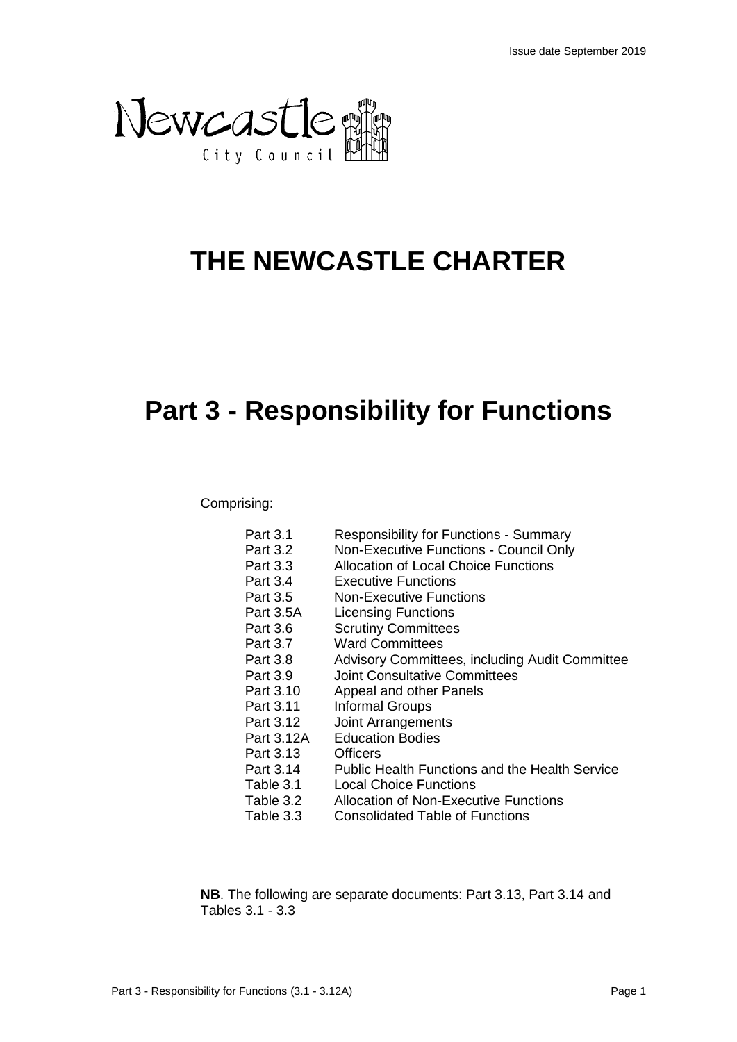

# **THE NEWCASTLE CHARTER**

# **Part 3 - Responsibility for Functions**

## Comprising:

| Part 3.1   | <b>Responsibility for Functions - Summary</b>         |
|------------|-------------------------------------------------------|
| Part 3.2   | Non-Executive Functions - Council Only                |
| Part 3.3   | Allocation of Local Choice Functions                  |
| Part 3.4   | <b>Executive Functions</b>                            |
| Part 3.5   | <b>Non-Executive Functions</b>                        |
| Part 3.5A  | <b>Licensing Functions</b>                            |
| Part 3.6   | <b>Scrutiny Committees</b>                            |
| Part 3.7   | <b>Ward Committees</b>                                |
| Part 3.8   | Advisory Committees, including Audit Committee        |
| Part 3.9   | <b>Joint Consultative Committees</b>                  |
| Part 3.10  | Appeal and other Panels                               |
| Part 3.11  | Informal Groups                                       |
| Part 3.12  | <b>Joint Arrangements</b>                             |
| Part 3.12A | <b>Education Bodies</b>                               |
| Part 3.13  | Officers                                              |
| Part 3.14  | <b>Public Health Functions and the Health Service</b> |
| Table 3.1  | <b>Local Choice Functions</b>                         |
| Table 3.2  | Allocation of Non-Executive Functions                 |
| Table 3.3  | <b>Consolidated Table of Functions</b>                |

**NB**. The following are separate documents: Part 3.13, Part 3.14 and Tables 3.1 - 3.3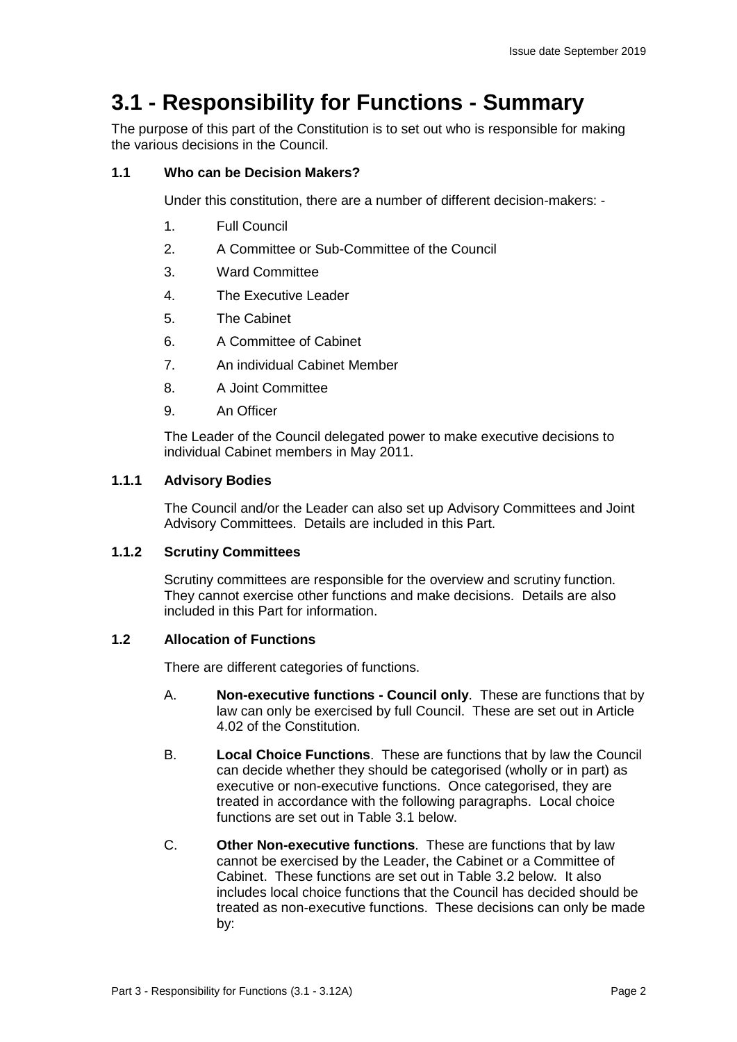## **3.1 - Responsibility for Functions - Summary**

The purpose of this part of the Constitution is to set out who is responsible for making the various decisions in the Council.

#### **1.1 Who can be Decision Makers?**

Under this constitution, there are a number of different decision-makers: -

- 1. Full Council
- 2. A Committee or Sub-Committee of the Council
- 3. Ward Committee
- 4. The Executive Leader
- 5. The Cabinet
- 6. A Committee of Cabinet
- 7. An individual Cabinet Member
- 8. A Joint Committee
- 9. An Officer

The Leader of the Council delegated power to make executive decisions to individual Cabinet members in May 2011.

#### **1.1.1 Advisory Bodies**

The Council and/or the Leader can also set up Advisory Committees and Joint Advisory Committees. Details are included in this Part.

#### **1.1.2 Scrutiny Committees**

Scrutiny committees are responsible for the overview and scrutiny function. They cannot exercise other functions and make decisions. Details are also included in this Part for information.

#### **1.2 Allocation of Functions**

There are different categories of functions.

- A. **Non-executive functions - Council only**. These are functions that by law can only be exercised by full Council. These are set out in Article 4.02 of the Constitution.
- B. **Local Choice Functions**. These are functions that by law the Council can decide whether they should be categorised (wholly or in part) as executive or non-executive functions. Once categorised, they are treated in accordance with the following paragraphs. Local choice functions are set out in Table 3.1 below.
- C. **Other Non-executive functions**. These are functions that by law cannot be exercised by the Leader, the Cabinet or a Committee of Cabinet. These functions are set out in Table 3.2 below. It also includes local choice functions that the Council has decided should be treated as non-executive functions. These decisions can only be made by: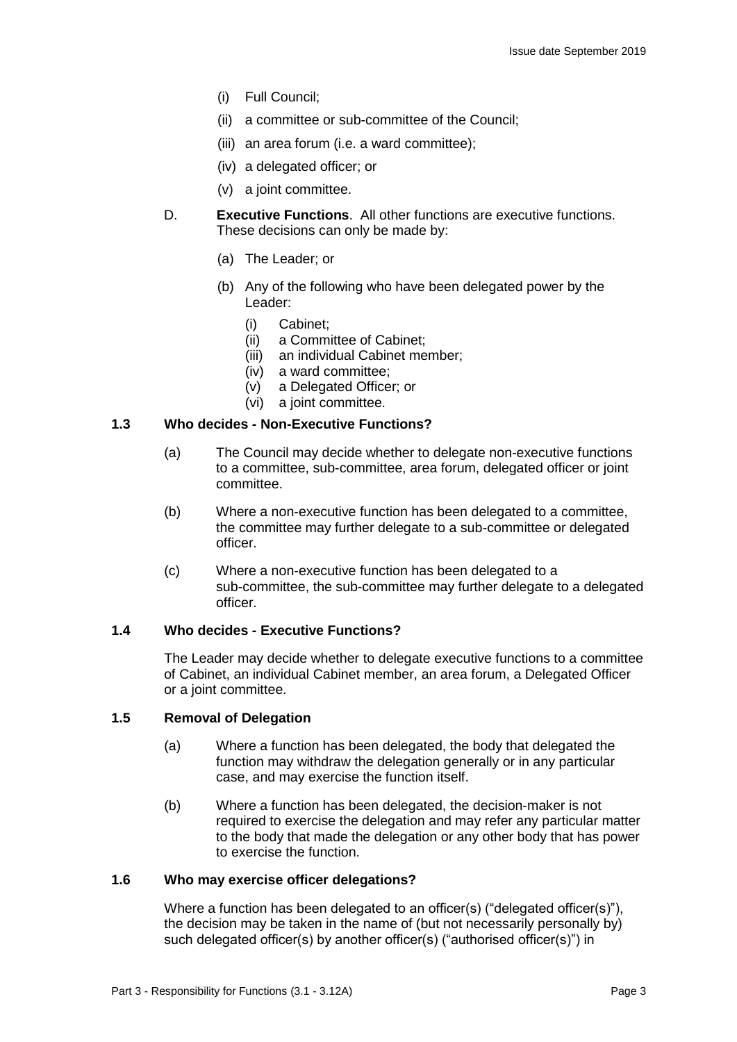- (i) Full Council;
- (ii) a committee or sub-committee of the Council;
- (iii) an area forum (i.e. a ward committee);
- (iv) a delegated officer; or
- (v) a joint committee.
- D. **Executive Functions**. All other functions are executive functions. These decisions can only be made by:
	- (a) The Leader; or
	- (b) Any of the following who have been delegated power by the Leader:
		- (i) Cabinet;
		- (ii) a Committee of Cabinet;
		- (iii) an individual Cabinet member;
		- (iv) a ward committee;
		- (v) a Delegated Officer; or
		- (vi) a joint committee.

#### **1.3 Who decides - Non-Executive Functions?**

- (a) The Council may decide whether to delegate non-executive functions to a committee, sub-committee, area forum, delegated officer or joint committee.
- (b) Where a non-executive function has been delegated to a committee, the committee may further delegate to a sub-committee or delegated officer.
- (c) Where a non-executive function has been delegated to a sub-committee, the sub-committee may further delegate to a delegated officer.

#### **1.4 Who decides - Executive Functions?**

The Leader may decide whether to delegate executive functions to a committee of Cabinet, an individual Cabinet member, an area forum, a Delegated Officer or a joint committee.

#### **1.5 Removal of Delegation**

- (a) Where a function has been delegated, the body that delegated the function may withdraw the delegation generally or in any particular case, and may exercise the function itself.
- (b) Where a function has been delegated, the decision-maker is not required to exercise the delegation and may refer any particular matter to the body that made the delegation or any other body that has power to exercise the function.

#### **1.6 Who may exercise officer delegations?**

Where a function has been delegated to an officer(s) ("delegated officer(s)"), the decision may be taken in the name of (but not necessarily personally by) such delegated officer(s) by another officer(s) ("authorised officer(s)") in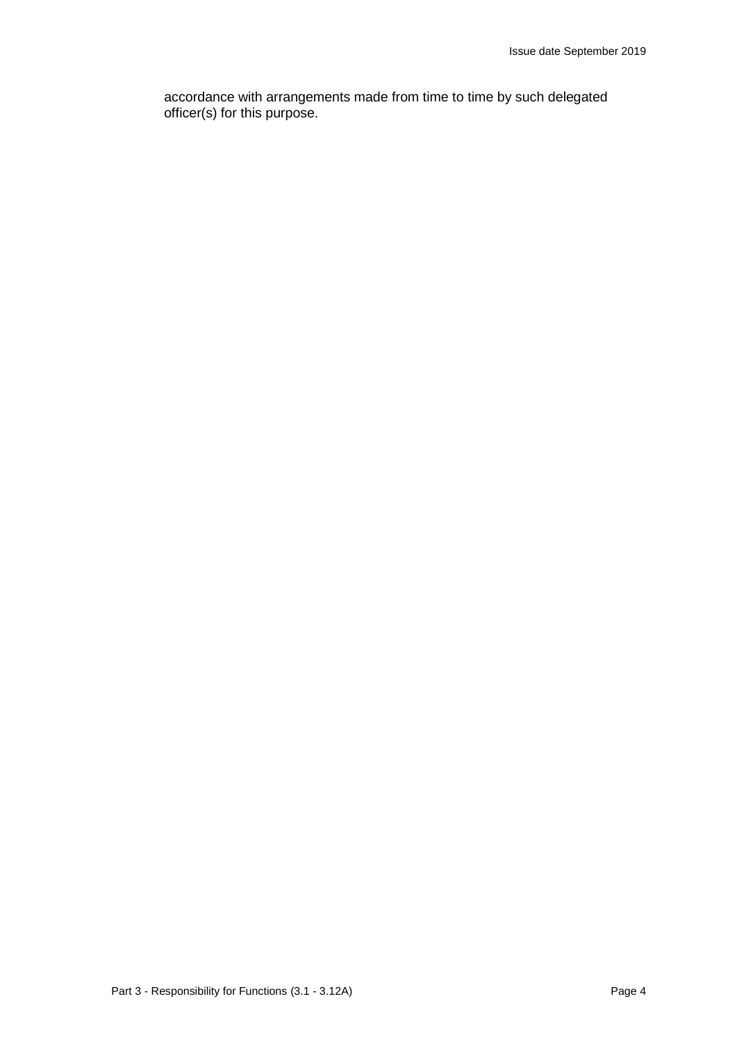accordance with arrangements made from time to time by such delegated officer(s) for this purpose.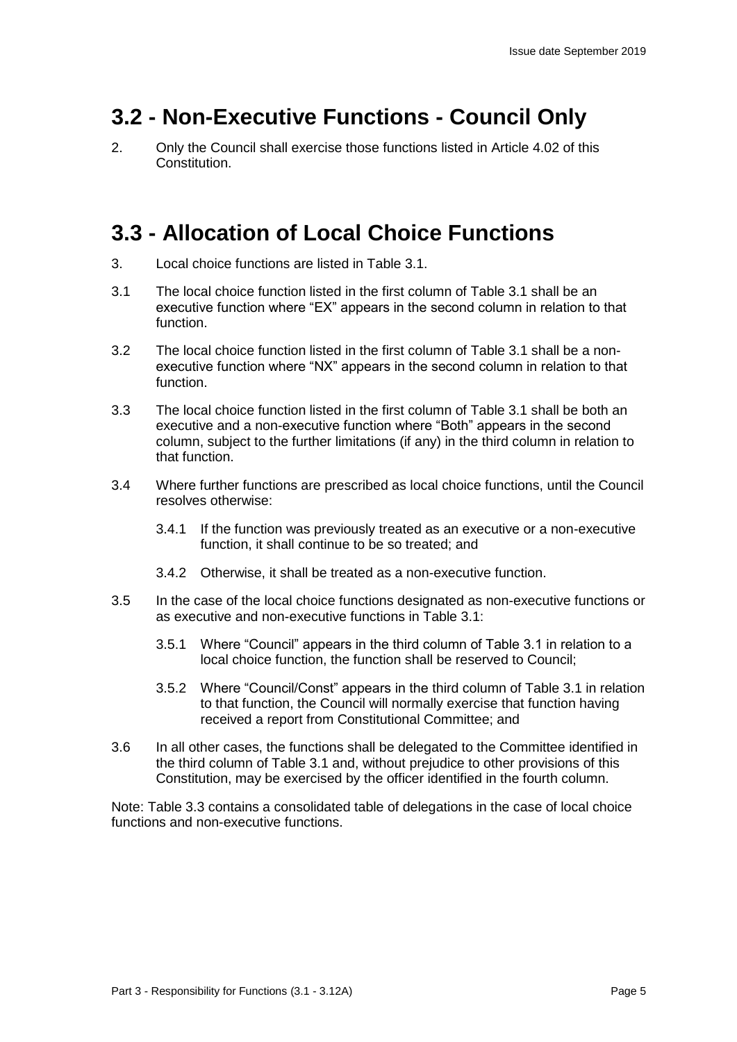## **3.2 - Non-Executive Functions - Council Only**

2. Only the Council shall exercise those functions listed in Article 4.02 of this Constitution.

## **3.3 - Allocation of Local Choice Functions**

- 3. Local choice functions are listed in Table 3.1.
- 3.1 The local choice function listed in the first column of Table 3.1 shall be an executive function where "EX" appears in the second column in relation to that function.
- 3.2 The local choice function listed in the first column of Table 3.1 shall be a nonexecutive function where "NX" appears in the second column in relation to that function.
- 3.3 The local choice function listed in the first column of Table 3.1 shall be both an executive and a non-executive function where "Both" appears in the second column, subject to the further limitations (if any) in the third column in relation to that function.
- 3.4 Where further functions are prescribed as local choice functions, until the Council resolves otherwise:
	- 3.4.1 If the function was previously treated as an executive or a non-executive function, it shall continue to be so treated; and
	- 3.4.2 Otherwise, it shall be treated as a non-executive function.
- 3.5 In the case of the local choice functions designated as non-executive functions or as executive and non-executive functions in Table 3.1:
	- 3.5.1 Where "Council" appears in the third column of Table 3.1 in relation to a local choice function, the function shall be reserved to Council;
	- 3.5.2 Where "Council/Const" appears in the third column of Table 3.1 in relation to that function, the Council will normally exercise that function having received a report from Constitutional Committee; and
- 3.6 In all other cases, the functions shall be delegated to the Committee identified in the third column of Table 3.1 and, without prejudice to other provisions of this Constitution, may be exercised by the officer identified in the fourth column.

Note: Table 3.3 contains a consolidated table of delegations in the case of local choice functions and non-executive functions.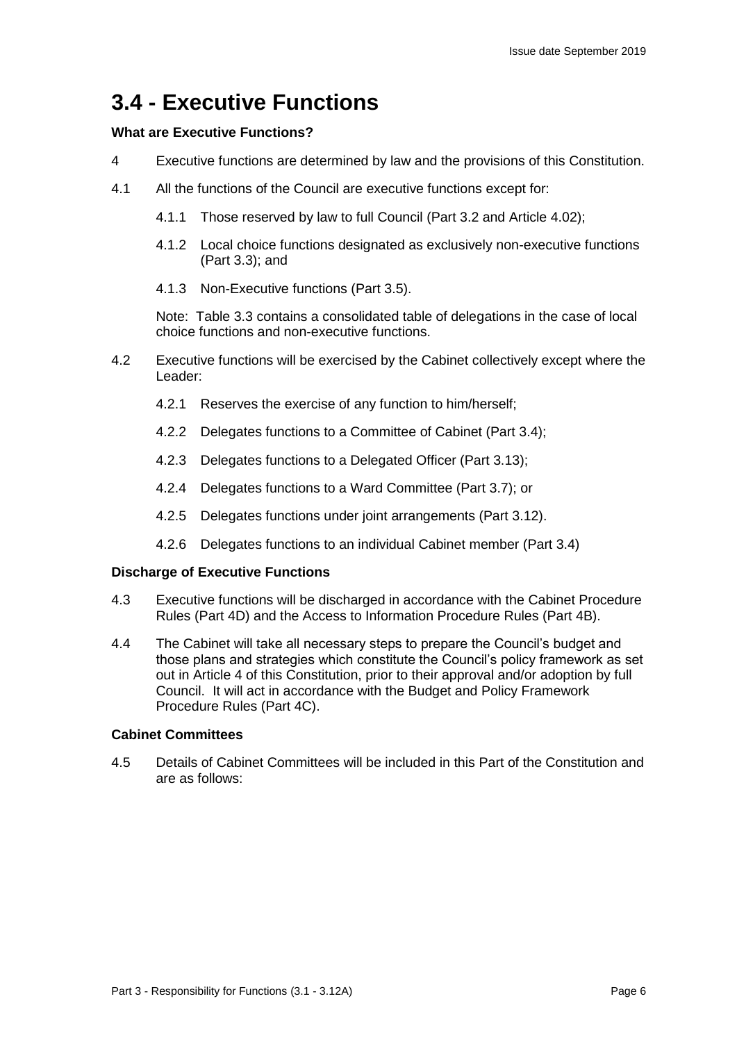## **3.4 - Executive Functions**

#### **What are Executive Functions?**

- 4 Executive functions are determined by law and the provisions of this Constitution.
- 4.1 All the functions of the Council are executive functions except for:
	- 4.1.1 Those reserved by law to full Council (Part 3.2 and Article 4.02);
	- 4.1.2 Local choice functions designated as exclusively non-executive functions (Part 3.3); and
	- 4.1.3 Non-Executive functions (Part 3.5).

Note: Table 3.3 contains a consolidated table of delegations in the case of local choice functions and non-executive functions.

- 4.2 Executive functions will be exercised by the Cabinet collectively except where the Leader:
	- 4.2.1 Reserves the exercise of any function to him/herself;
	- 4.2.2 Delegates functions to a Committee of Cabinet (Part 3.4);
	- 4.2.3 Delegates functions to a Delegated Officer (Part 3.13);
	- 4.2.4 Delegates functions to a Ward Committee (Part 3.7); or
	- 4.2.5 Delegates functions under joint arrangements (Part 3.12).
	- 4.2.6 Delegates functions to an individual Cabinet member (Part 3.4)

#### **Discharge of Executive Functions**

- 4.3 Executive functions will be discharged in accordance with the Cabinet Procedure Rules (Part 4D) and the Access to Information Procedure Rules (Part 4B).
- 4.4 The Cabinet will take all necessary steps to prepare the Council's budget and those plans and strategies which constitute the Council's policy framework as set out in Article 4 of this Constitution, prior to their approval and/or adoption by full Council. It will act in accordance with the Budget and Policy Framework Procedure Rules (Part 4C).

#### **Cabinet Committees**

4.5 Details of Cabinet Committees will be included in this Part of the Constitution and are as follows: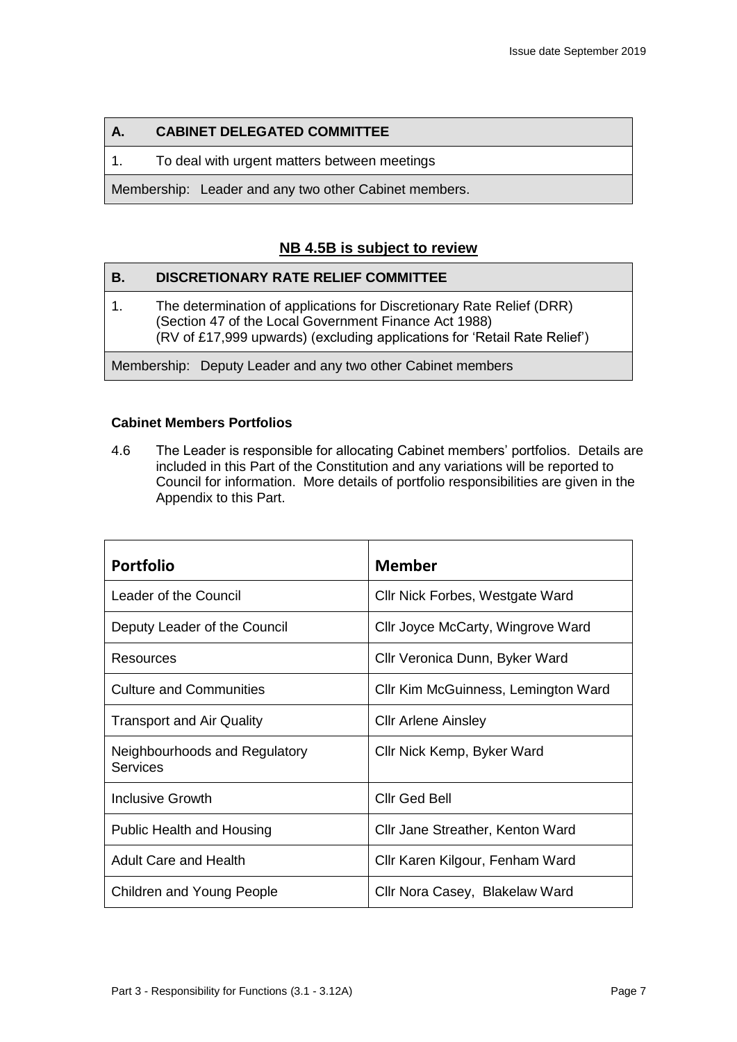## **A. CABINET DELEGATED COMMITTEE**

1. To deal with urgent matters between meetings

Membership: Leader and any two other Cabinet members.

## **NB 4.5B is subject to review**

| В. | <b>DISCRETIONARY RATE RELIEF COMMITTEE</b>                                                                                                                                                                  |
|----|-------------------------------------------------------------------------------------------------------------------------------------------------------------------------------------------------------------|
| 1. | The determination of applications for Discretionary Rate Relief (DRR)<br>(Section 47 of the Local Government Finance Act 1988)<br>(RV of £17,999 upwards) (excluding applications for 'Retail Rate Relief') |
|    | Membership: Deputy Leader and any two other Cabinet members                                                                                                                                                 |

#### **Cabinet Members Portfolios**

4.6 The Leader is responsible for allocating Cabinet members' portfolios. Details are included in this Part of the Constitution and any variations will be reported to Council for information. More details of portfolio responsibilities are given in the Appendix to this Part.

| <b>Portfolio</b>                          | <b>Member</b>                       |
|-------------------------------------------|-------------------------------------|
| Leader of the Council                     | Cllr Nick Forbes, Westgate Ward     |
| Deputy Leader of the Council              | Cllr Joyce McCarty, Wingrove Ward   |
| Resources                                 | Cllr Veronica Dunn, Byker Ward      |
| <b>Culture and Communities</b>            | Cllr Kim McGuinness, Lemington Ward |
| <b>Transport and Air Quality</b>          | <b>CIIr Arlene Ainsley</b>          |
| Neighbourhoods and Regulatory<br>Services | Cllr Nick Kemp, Byker Ward          |
| <b>Inclusive Growth</b>                   | <b>Cllr Ged Bell</b>                |
| Public Health and Housing                 | Cllr Jane Streather, Kenton Ward    |
| <b>Adult Care and Health</b>              | Cllr Karen Kilgour, Fenham Ward     |
| <b>Children and Young People</b>          | Cllr Nora Casey, Blakelaw Ward      |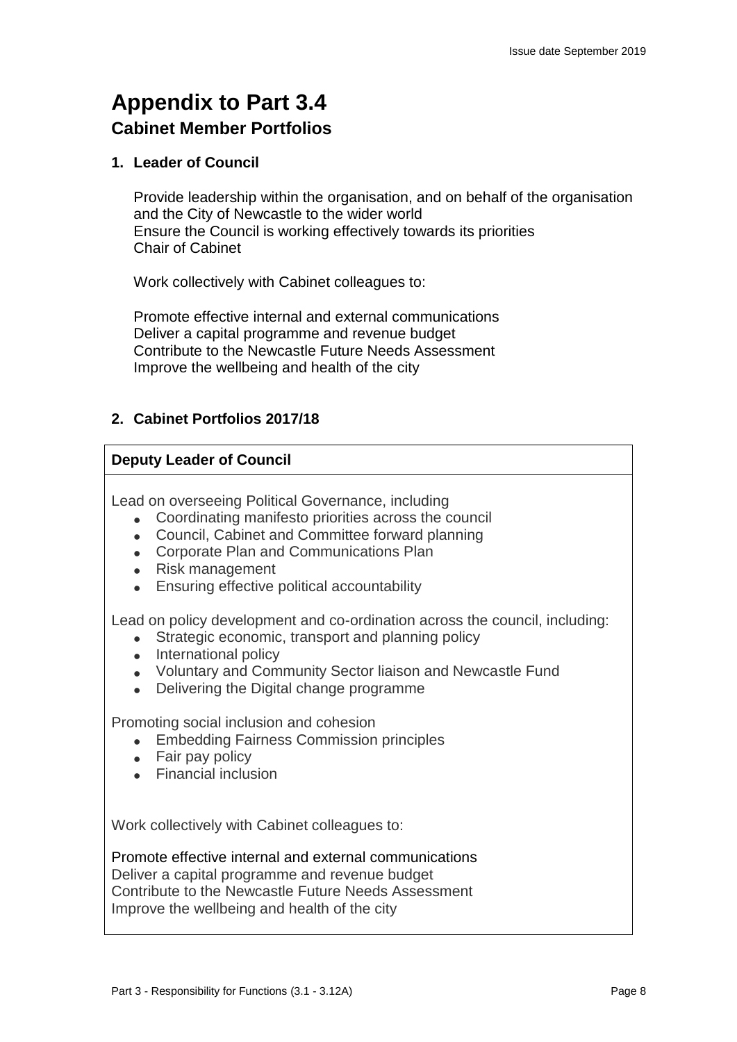## **Appendix to Part 3.4 Cabinet Member Portfolios**

## **1. Leader of Council**

Provide leadership within the organisation, and on behalf of the organisation and the City of Newcastle to the wider world Ensure the Council is working effectively towards its priorities Chair of Cabinet

Work collectively with Cabinet colleagues to:

Promote effective internal and external communications Deliver a capital programme and revenue budget Contribute to the Newcastle Future Needs Assessment Improve the wellbeing and health of the city

## **2. Cabinet Portfolios 2017/18**

## **Deputy Leader of Council**

Lead on overseeing Political Governance, including

- Coordinating manifesto priorities across the council
- Council, Cabinet and Committee forward planning
- Corporate Plan and Communications Plan
- Risk management
- Ensuring effective political accountability

Lead on policy development and co-ordination across the council, including:

- Strategic economic, transport and planning policy
- International policy
- Voluntary and Community Sector liaison and Newcastle Fund
- Delivering the Digital change programme

Promoting social inclusion and cohesion

- Embedding Fairness Commission principles
- Fair pay policy
- Financial inclusion

Work collectively with Cabinet colleagues to:

Promote effective internal and external communications Deliver a capital programme and revenue budget Contribute to the Newcastle Future Needs Assessment Improve the wellbeing and health of the city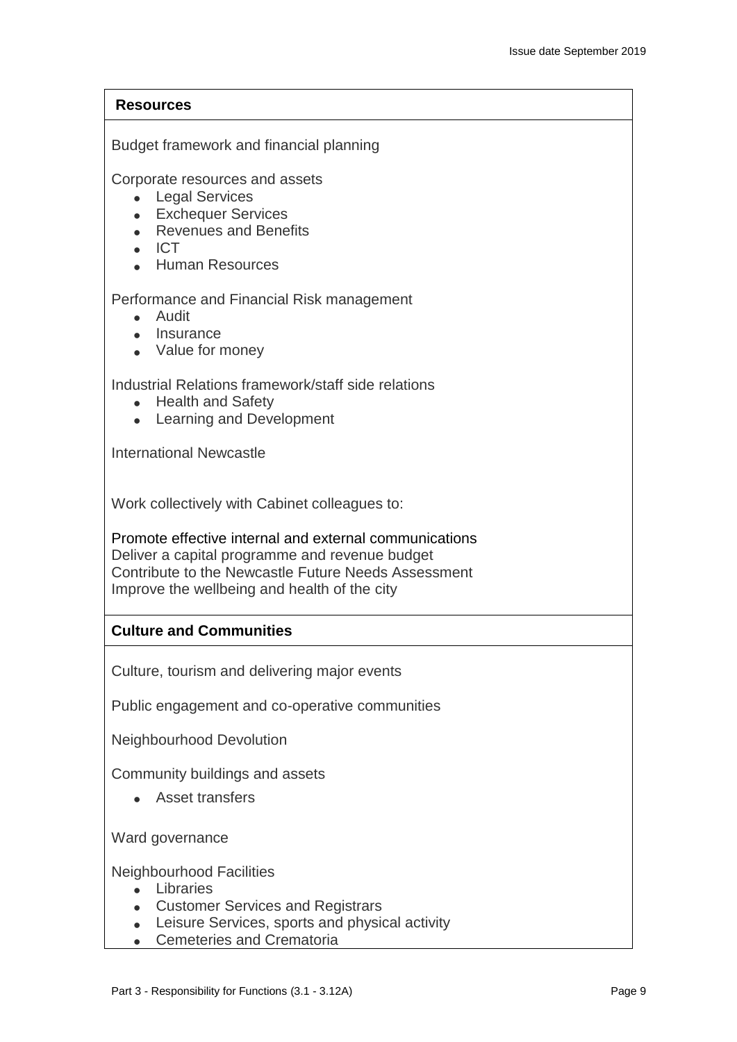## **Resources**

Budget framework and financial planning

Corporate resources and assets

- Legal Services
- Exchequer Services
- Revenues and Benefits
- $\blacksquare$  ICT
- Human Resources

Performance and Financial Risk management

- Audit
- Insurance
- Value for money

Industrial Relations framework/staff side relations

- Health and Safety
- Learning and Development

International Newcastle

Work collectively with Cabinet colleagues to:

Promote effective internal and external communications Deliver a capital programme and revenue budget Contribute to the Newcastle Future Needs Assessment Improve the wellbeing and health of the city

## **Culture and Communities**

Culture, tourism and delivering major events

Public engagement and co-operative communities

Neighbourhood Devolution

Community buildings and assets

• Asset transfers

Ward governance

Neighbourhood Facilities

- Libraries
- Customer Services and Registrars
- Leisure Services, sports and physical activity
- Cemeteries and Crematoria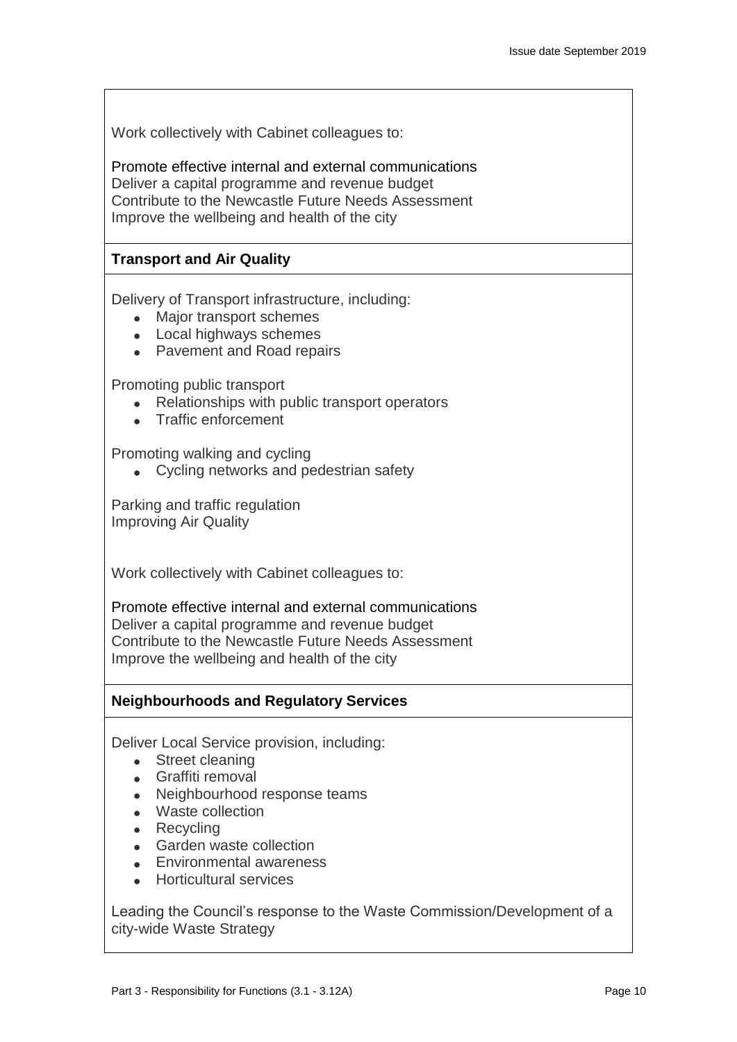Work collectively with Cabinet colleagues to:

Promote effective internal and external communications Deliver a capital programme and revenue budget Contribute to the Newcastle Future Needs Assessment Improve the wellbeing and health of the city

## **Transport and Air Quality**

Delivery of Transport infrastructure, including:

- Major transport schemes
- Local highways schemes
- Pavement and Road repairs

Promoting public transport

- Relationships with public transport operators
- Traffic enforcement

Promoting walking and cycling

• Cycling networks and pedestrian safety

Parking and traffic regulation Improving Air Quality

Work collectively with Cabinet colleagues to:

Promote effective internal and external communications Deliver a capital programme and revenue budget Contribute to the Newcastle Future Needs Assessment Improve the wellbeing and health of the city

## **Neighbourhoods and Regulatory Services**

Deliver Local Service provision, including:

- Street cleaning
- Graffiti removal
- Neighbourhood response teams
- Waste collection
- Recycling
- Garden waste collection
- Environmental awareness
- Horticultural services

Leading the Council's response to the Waste Commission/Development of a city-wide Waste Strategy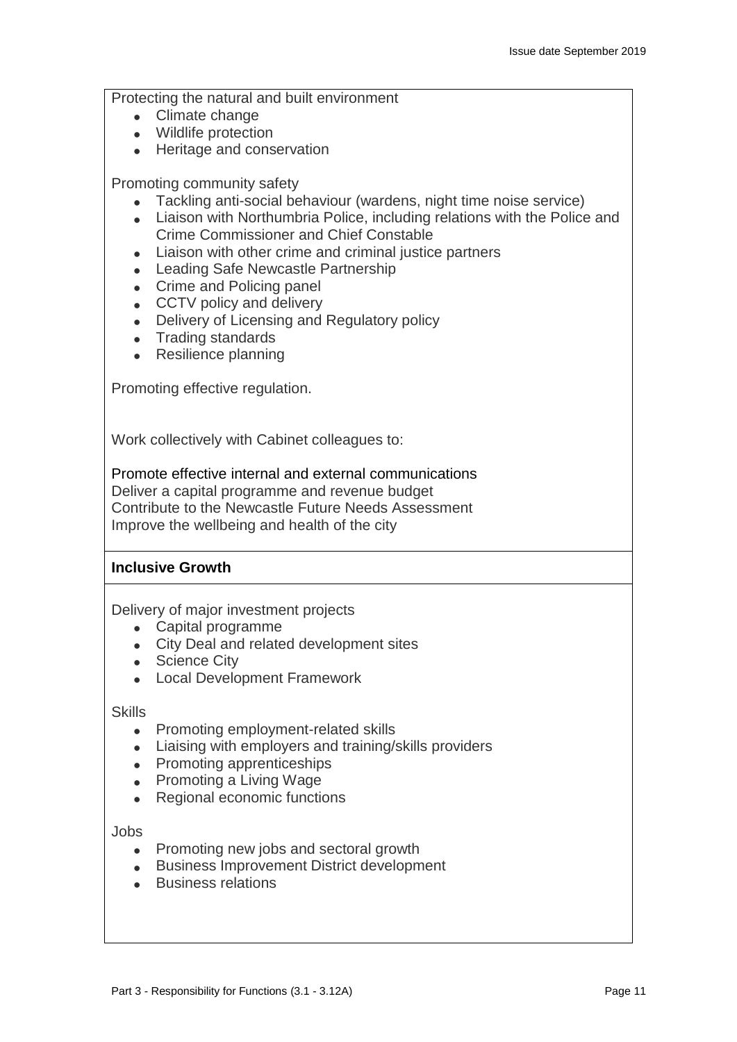Protecting the natural and built environment

- Climate change
- Wildlife protection
- Heritage and conservation

Promoting community safety

- Tackling anti-social behaviour (wardens, night time noise service)
- Liaison with Northumbria Police, including relations with the Police and Crime Commissioner and Chief Constable
- Liaison with other crime and criminal justice partners
- Leading Safe Newcastle Partnership
- Crime and Policing panel
- CCTV policy and delivery
- Delivery of Licensing and Regulatory policy
- Trading standards
- Resilience planning

Promoting effective regulation.

Work collectively with Cabinet colleagues to:

Promote effective internal and external communications Deliver a capital programme and revenue budget Contribute to the Newcastle Future Needs Assessment Improve the wellbeing and health of the city

## **Inclusive Growth**

Delivery of major investment projects

- Capital programme
- City Deal and related development sites
- Science City
- Local Development Framework

**Skills** 

- Promoting employment-related skills
- Liaising with employers and training/skills providers
- Promoting apprenticeships
- Promoting a Living Wage
- Regional economic functions

Jobs

- Promoting new jobs and sectoral growth
- Business Improvement District development
- Business relations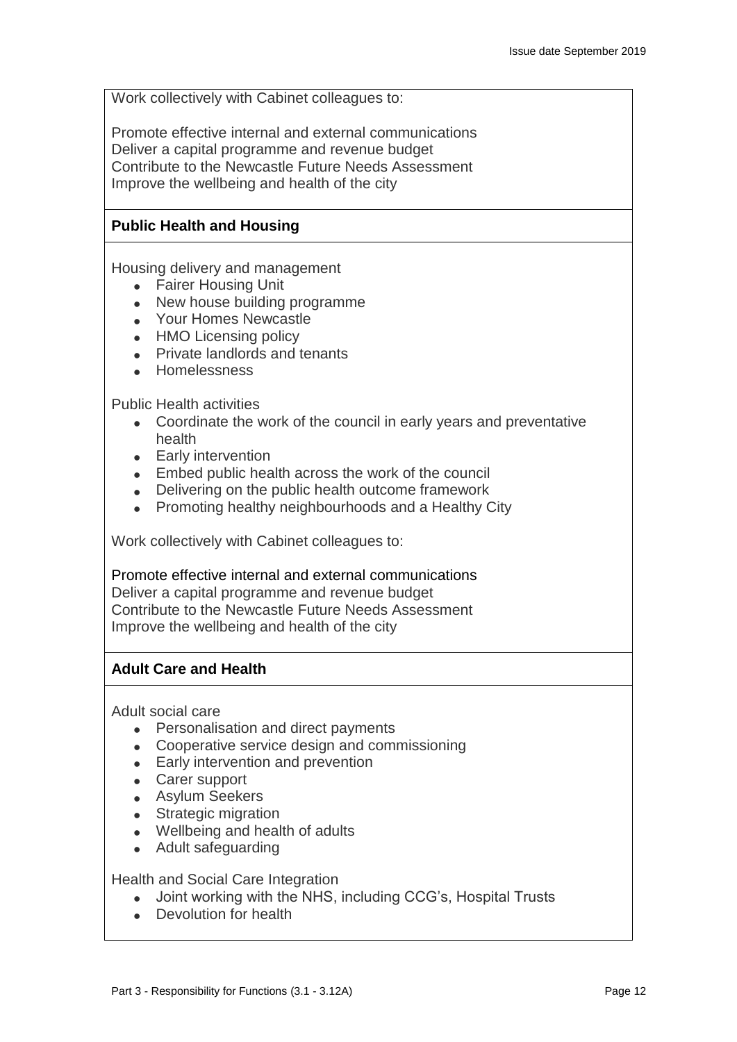Work collectively with Cabinet colleagues to:

Promote effective internal and external communications Deliver a capital programme and revenue budget Contribute to the Newcastle Future Needs Assessment Improve the wellbeing and health of the city

## **Public Health and Housing**

Housing delivery and management

- Fairer Housing Unit
- New house building programme
- Your Homes Newcastle
- HMO Licensing policy
- Private landlords and tenants
- Homelessness

Public Health activities

- Coordinate the work of the council in early years and preventative health
- Early intervention
- Embed public health across the work of the council
- Delivering on the public health outcome framework
- Promoting healthy neighbourhoods and a Healthy City

Work collectively with Cabinet colleagues to:

Promote effective internal and external communications Deliver a capital programme and revenue budget Contribute to the Newcastle Future Needs Assessment Improve the wellbeing and health of the city

## **Adult Care and Health**

Adult social care

- Personalisation and direct payments
- Cooperative service design and commissioning
- Early intervention and prevention
- Carer support
- Asylum Seekers
- Strategic migration
- Wellbeing and health of adults
- Adult safeguarding

Health and Social Care Integration

- Joint working with the NHS, including CCG's, Hospital Trusts
- Devolution for health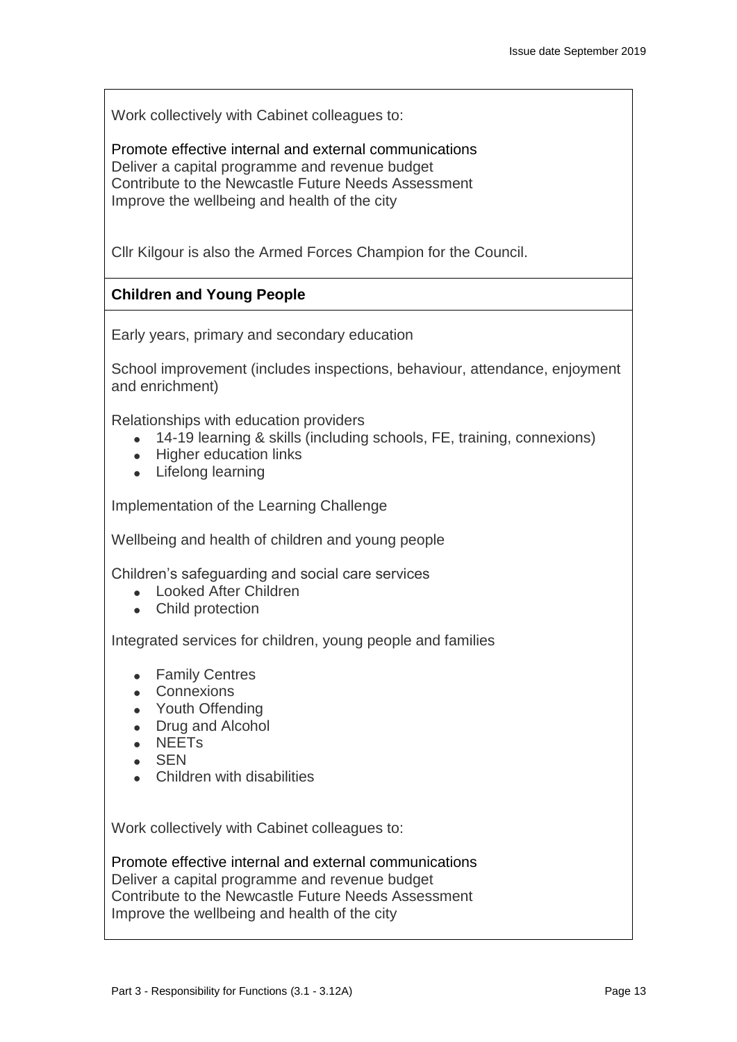Work collectively with Cabinet colleagues to:

Promote effective internal and external communications Deliver a capital programme and revenue budget Contribute to the Newcastle Future Needs Assessment Improve the wellbeing and health of the city

Cllr Kilgour is also the Armed Forces Champion for the Council.

## **Children and Young People**

Early years, primary and secondary education

School improvement (includes inspections, behaviour, attendance, enjoyment and enrichment)

Relationships with education providers

- 14-19 learning & skills (including schools, FE, training, connexions)
- Higher education links
- Lifelong learning

Implementation of the Learning Challenge

Wellbeing and health of children and young people

Children's safeguarding and social care services

- Looked After Children
- Child protection

Integrated services for children, young people and families

- Family Centres
- Connexions
- Youth Offending
- Drug and Alcohol
- NEETs
- SEN
- Children with disabilities

Work collectively with Cabinet colleagues to:

Promote effective internal and external communications Deliver a capital programme and revenue budget Contribute to the Newcastle Future Needs Assessment Improve the wellbeing and health of the city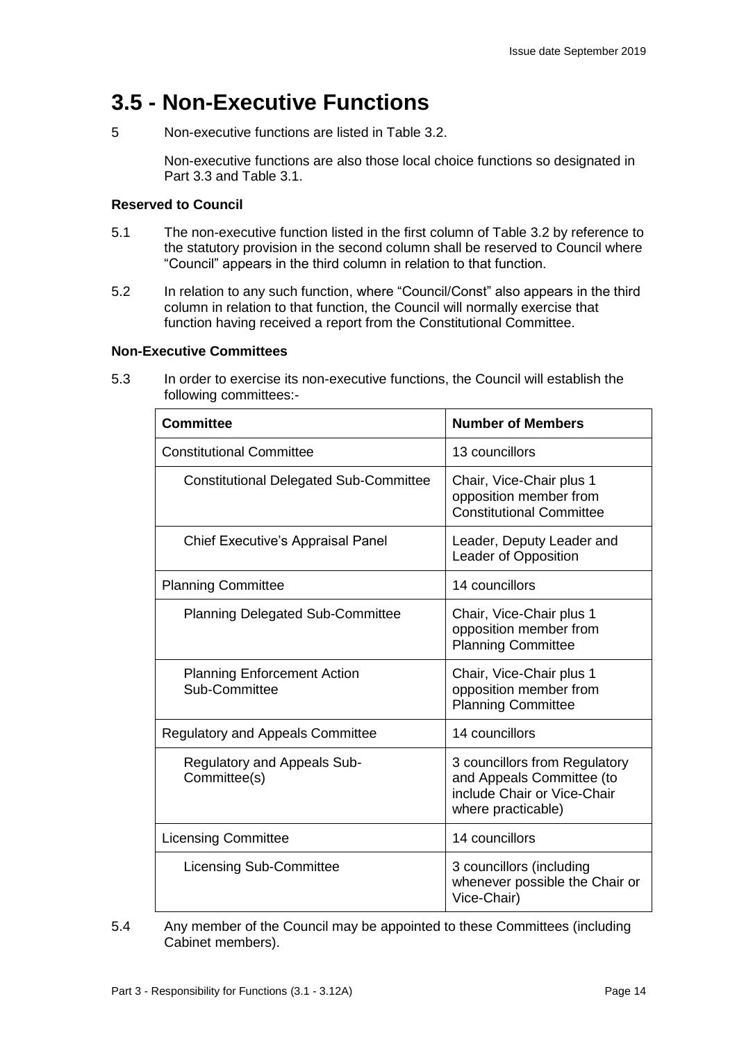## **3.5 - Non-Executive Functions**

5 Non-executive functions are listed in Table 3.2.

Non-executive functions are also those local choice functions so designated in Part 3.3 and Table 3.1.

### **Reserved to Council**

- 5.1 The non-executive function listed in the first column of Table 3.2 by reference to the statutory provision in the second column shall be reserved to Council where "Council" appears in the third column in relation to that function.
- 5.2 In relation to any such function, where "Council/Const" also appears in the third column in relation to that function, the Council will normally exercise that function having received a report from the Constitutional Committee.

#### **Non-Executive Committees**

5.3 In order to exercise its non-executive functions, the Council will establish the following committees:-

| Committee                                           | <b>Number of Members</b>                                                                                        |
|-----------------------------------------------------|-----------------------------------------------------------------------------------------------------------------|
| <b>Constitutional Committee</b>                     | 13 councillors                                                                                                  |
| <b>Constitutional Delegated Sub-Committee</b>       | Chair, Vice-Chair plus 1<br>opposition member from<br><b>Constitutional Committee</b>                           |
| <b>Chief Executive's Appraisal Panel</b>            | Leader, Deputy Leader and<br>Leader of Opposition                                                               |
| <b>Planning Committee</b>                           | 14 councillors                                                                                                  |
| <b>Planning Delegated Sub-Committee</b>             | Chair, Vice-Chair plus 1<br>opposition member from<br><b>Planning Committee</b>                                 |
| <b>Planning Enforcement Action</b><br>Sub-Committee | Chair, Vice-Chair plus 1<br>opposition member from<br><b>Planning Committee</b>                                 |
| <b>Regulatory and Appeals Committee</b>             | 14 councillors                                                                                                  |
| Regulatory and Appeals Sub-<br>Committee(s)         | 3 councillors from Regulatory<br>and Appeals Committee (to<br>include Chair or Vice-Chair<br>where practicable) |
| <b>Licensing Committee</b>                          | 14 councillors                                                                                                  |
| <b>Licensing Sub-Committee</b>                      | 3 councillors (including<br>whenever possible the Chair or<br>Vice-Chair)                                       |

5.4 Any member of the Council may be appointed to these Committees (including Cabinet members).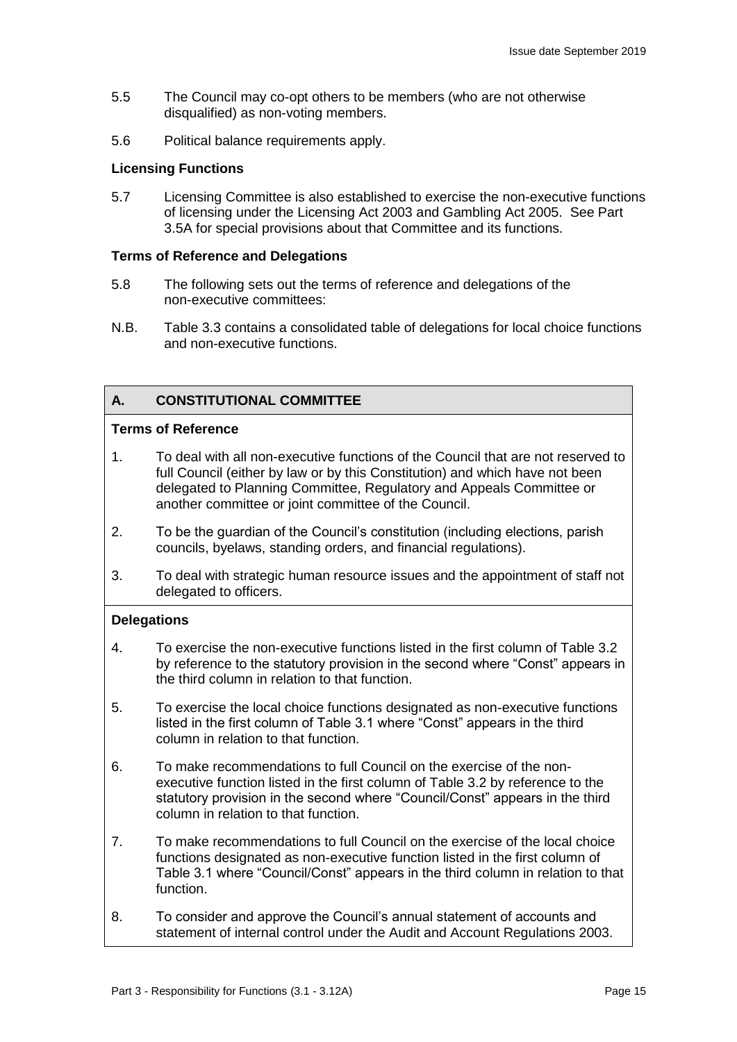- 5.5 The Council may co-opt others to be members (who are not otherwise disqualified) as non-voting members.
- 5.6 Political balance requirements apply.

#### **Licensing Functions**

5.7 Licensing Committee is also established to exercise the non-executive functions of licensing under the Licensing Act 2003 and Gambling Act 2005. See Part 3.5A for special provisions about that Committee and its functions.

#### **Terms of Reference and Delegations**

- 5.8 The following sets out the terms of reference and delegations of the non-executive committees:
- N.B. Table 3.3 contains a consolidated table of delegations for local choice functions and non-executive functions.

### **A. CONSTITUTIONAL COMMITTEE**

#### **Terms of Reference**

- 1. To deal with all non-executive functions of the Council that are not reserved to full Council (either by law or by this Constitution) and which have not been delegated to Planning Committee, Regulatory and Appeals Committee or another committee or joint committee of the Council.
- 2. To be the guardian of the Council's constitution (including elections, parish councils, byelaws, standing orders, and financial regulations).
- 3. To deal with strategic human resource issues and the appointment of staff not delegated to officers.

#### **Delegations**

- 4. To exercise the non-executive functions listed in the first column of Table 3.2 by reference to the statutory provision in the second where "Const" appears in the third column in relation to that function.
- 5. To exercise the local choice functions designated as non-executive functions listed in the first column of Table 3.1 where "Const" appears in the third column in relation to that function.
- 6. To make recommendations to full Council on the exercise of the nonexecutive function listed in the first column of Table 3.2 by reference to the statutory provision in the second where "Council/Const" appears in the third column in relation to that function.
- 7. To make recommendations to full Council on the exercise of the local choice functions designated as non-executive function listed in the first column of Table 3.1 where "Council/Const" appears in the third column in relation to that function.
- 8. To consider and approve the Council's annual statement of accounts and statement of internal control under the Audit and Account Regulations 2003.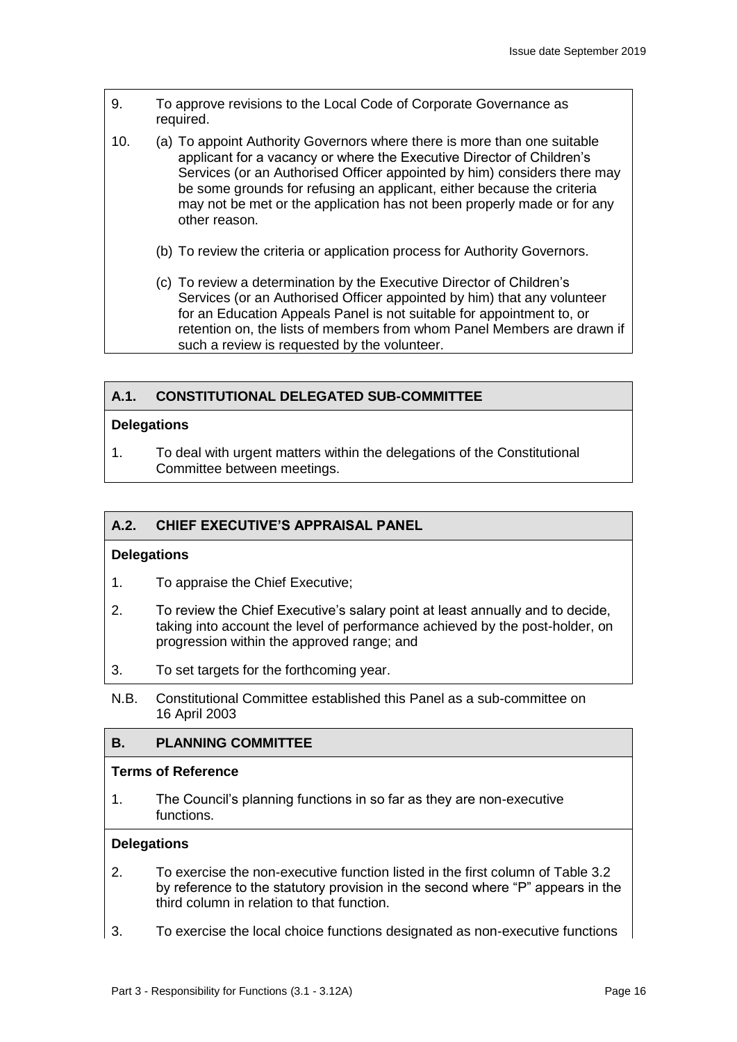- 9. To approve revisions to the Local Code of Corporate Governance as required.
- 10. (a) To appoint Authority Governors where there is more than one suitable applicant for a vacancy or where the Executive Director of Children's Services (or an Authorised Officer appointed by him) considers there may be some grounds for refusing an applicant, either because the criteria may not be met or the application has not been properly made or for any other reason.
	- (b) To review the criteria or application process for Authority Governors.
	- (c) To review a determination by the Executive Director of Children's Services (or an Authorised Officer appointed by him) that any volunteer for an Education Appeals Panel is not suitable for appointment to, or retention on, the lists of members from whom Panel Members are drawn if such a review is requested by the volunteer.

#### **A.1. CONSTITUTIONAL DELEGATED SUB-COMMITTEE**

#### **Delegations**

1. To deal with urgent matters within the delegations of the Constitutional Committee between meetings.

#### **A.2. CHIEF EXECUTIVE'S APPRAISAL PANEL**

#### **Delegations**

- 1. To appraise the Chief Executive;
- 2. To review the Chief Executive's salary point at least annually and to decide, taking into account the level of performance achieved by the post-holder, on progression within the approved range; and
- 3. To set targets for the forthcoming year.
- N.B. Constitutional Committee established this Panel as a sub-committee on 16 April 2003

#### **B. PLANNING COMMITTEE**

#### **Terms of Reference**

1. The Council's planning functions in so far as they are non-executive functions.

#### **Delegations**

- 2. To exercise the non-executive function listed in the first column of Table 3.2 by reference to the statutory provision in the second where "P" appears in the third column in relation to that function.
- 3. To exercise the local choice functions designated as non-executive functions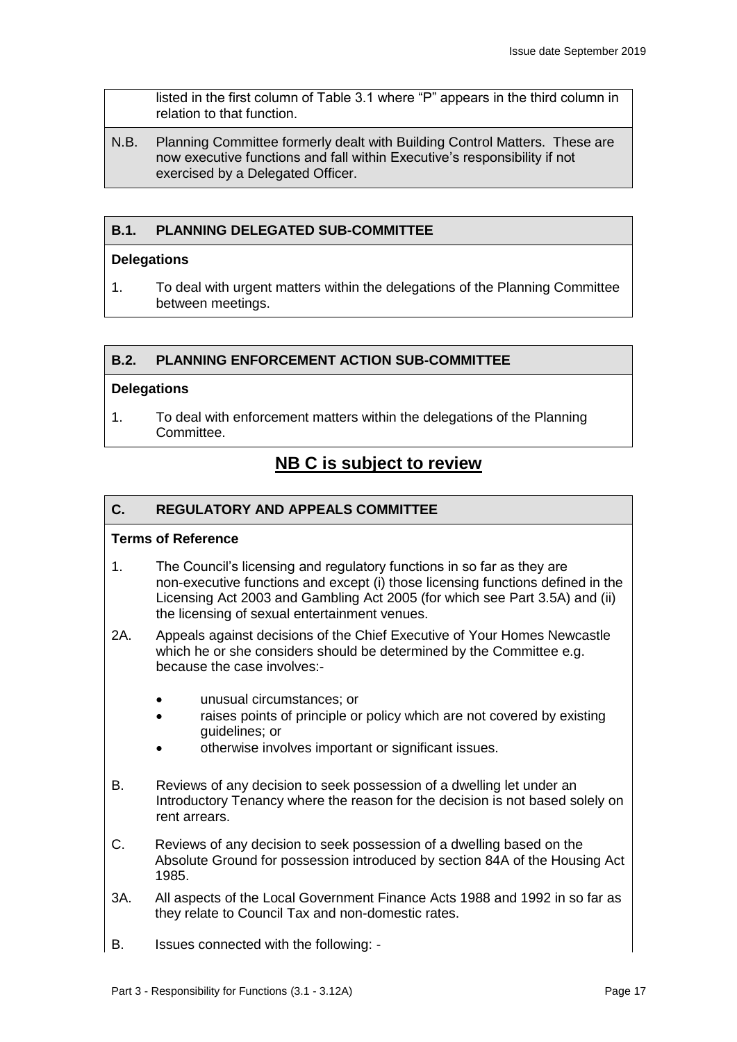listed in the first column of Table 3.1 where "P" appears in the third column in relation to that function.

N.B. Planning Committee formerly dealt with Building Control Matters. These are now executive functions and fall within Executive's responsibility if not exercised by a Delegated Officer.

## **B.1. PLANNING DELEGATED SUB-COMMITTEE**

#### **Delegations**

1. To deal with urgent matters within the delegations of the Planning Committee between meetings.

#### **B.2. PLANNING ENFORCEMENT ACTION SUB-COMMITTEE**

#### **Delegations**

1. To deal with enforcement matters within the delegations of the Planning Committee.

## **NB C is subject to review**

#### **C. REGULATORY AND APPEALS COMMITTEE**

#### **Terms of Reference**

- 1. The Council's licensing and regulatory functions in so far as they are non-executive functions and except (i) those licensing functions defined in the Licensing Act 2003 and Gambling Act 2005 (for which see Part 3.5A) and (ii) the licensing of sexual entertainment venues.
- 2A. Appeals against decisions of the Chief Executive of Your Homes Newcastle which he or she considers should be determined by the Committee e.g. because the case involves:-
	- unusual circumstances; or
	- raises points of principle or policy which are not covered by existing guidelines; or
	- otherwise involves important or significant issues.
- B. Reviews of any decision to seek possession of a dwelling let under an Introductory Tenancy where the reason for the decision is not based solely on rent arrears.
- C. Reviews of any decision to seek possession of a dwelling based on the Absolute Ground for possession introduced by section 84A of the Housing Act 1985.
- 3A. All aspects of the Local Government Finance Acts 1988 and 1992 in so far as they relate to Council Tax and non-domestic rates.
- B. Issues connected with the following: -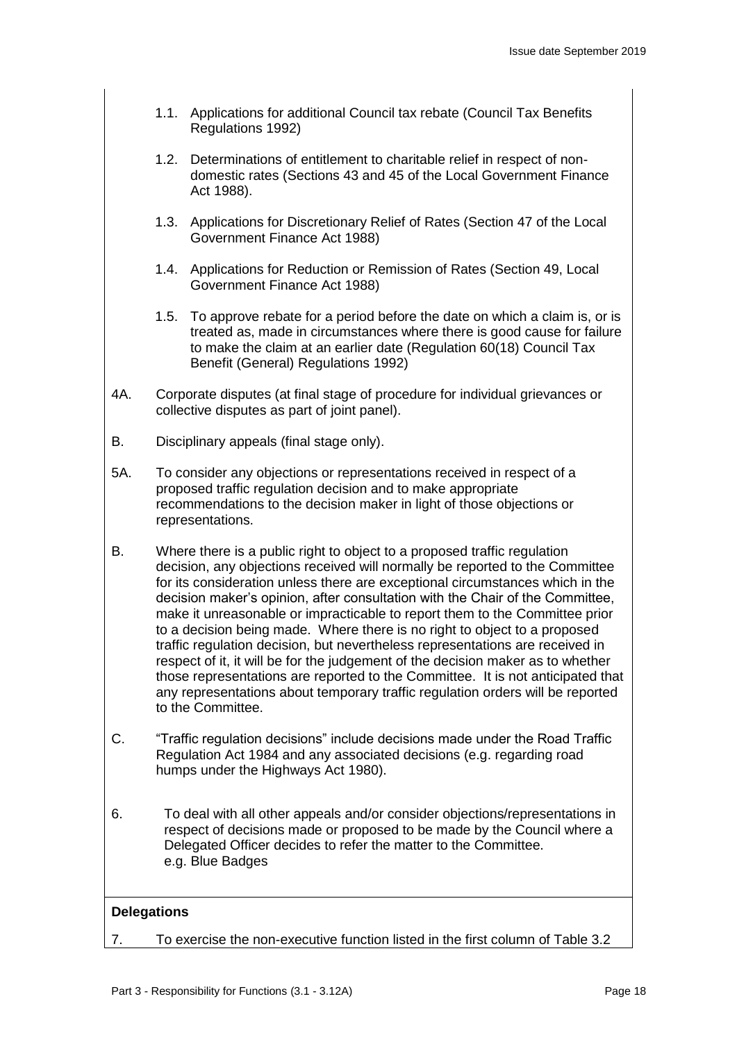- 1.1. Applications for additional Council tax rebate (Council Tax Benefits Regulations 1992)
- 1.2. Determinations of entitlement to charitable relief in respect of nondomestic rates (Sections 43 and 45 of the Local Government Finance Act 1988).
- 1.3. Applications for Discretionary Relief of Rates (Section 47 of the Local Government Finance Act 1988)
- 1.4. Applications for Reduction or Remission of Rates (Section 49, Local Government Finance Act 1988)
- 1.5. To approve rebate for a period before the date on which a claim is, or is treated as, made in circumstances where there is good cause for failure to make the claim at an earlier date (Regulation 60(18) Council Tax Benefit (General) Regulations 1992)
- 4A. Corporate disputes (at final stage of procedure for individual grievances or collective disputes as part of joint panel).
- B. Disciplinary appeals (final stage only).
- 5A. To consider any objections or representations received in respect of a proposed traffic regulation decision and to make appropriate recommendations to the decision maker in light of those objections or representations.
- B. Where there is a public right to object to a proposed traffic regulation decision, any objections received will normally be reported to the Committee for its consideration unless there are exceptional circumstances which in the decision maker's opinion, after consultation with the Chair of the Committee, make it unreasonable or impracticable to report them to the Committee prior to a decision being made. Where there is no right to object to a proposed traffic regulation decision, but nevertheless representations are received in respect of it, it will be for the judgement of the decision maker as to whether those representations are reported to the Committee. It is not anticipated that any representations about temporary traffic regulation orders will be reported to the Committee.
- C. "Traffic regulation decisions" include decisions made under the Road Traffic Regulation Act 1984 and any associated decisions (e.g. regarding road humps under the Highways Act 1980).
- 6. To deal with all other appeals and/or consider objections/representations in respect of decisions made or proposed to be made by the Council where a Delegated Officer decides to refer the matter to the Committee. e.g. Blue Badges

#### **Delegations**

7. To exercise the non-executive function listed in the first column of Table 3.2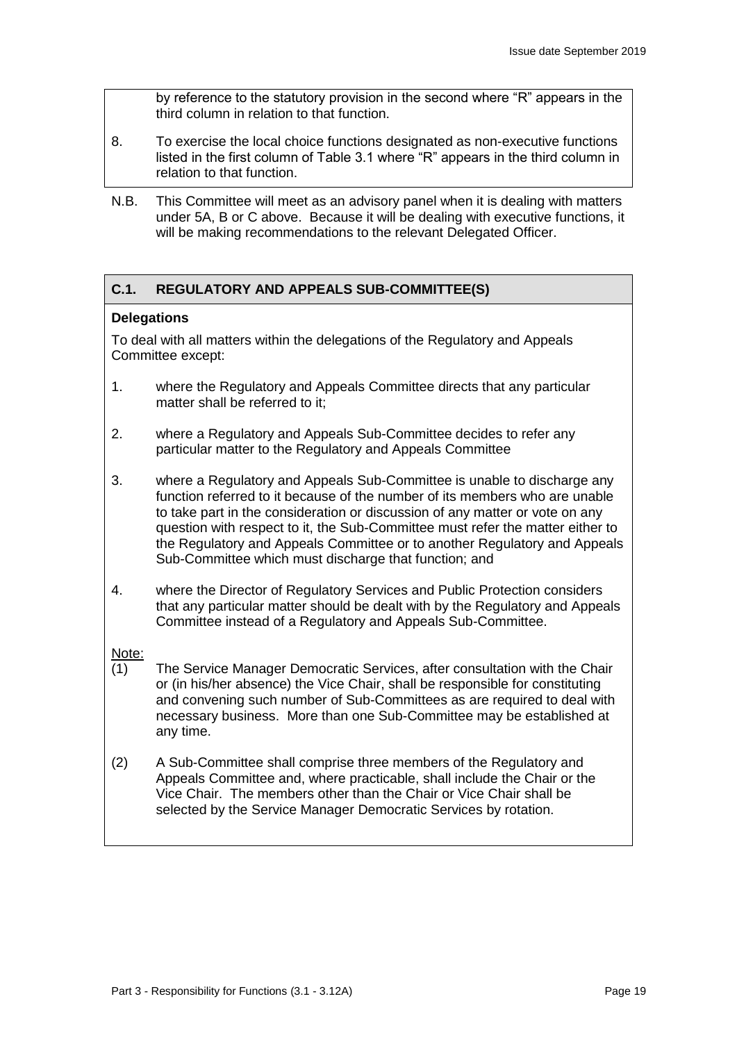by reference to the statutory provision in the second where "R" appears in the third column in relation to that function.

- 8. To exercise the local choice functions designated as non-executive functions listed in the first column of Table 3.1 where "R" appears in the third column in relation to that function.
- N.B. This Committee will meet as an advisory panel when it is dealing with matters under 5A, B or C above. Because it will be dealing with executive functions, it will be making recommendations to the relevant Delegated Officer.

## **C.1. REGULATORY AND APPEALS SUB-COMMITTEE(S)**

#### **Delegations**

To deal with all matters within the delegations of the Regulatory and Appeals Committee except:

- 1. where the Regulatory and Appeals Committee directs that any particular matter shall be referred to it;
- 2. where a Regulatory and Appeals Sub-Committee decides to refer any particular matter to the Regulatory and Appeals Committee
- 3. where a Regulatory and Appeals Sub-Committee is unable to discharge any function referred to it because of the number of its members who are unable to take part in the consideration or discussion of any matter or vote on any question with respect to it, the Sub-Committee must refer the matter either to the Regulatory and Appeals Committee or to another Regulatory and Appeals Sub-Committee which must discharge that function; and
- 4. where the Director of Regulatory Services and Public Protection considers that any particular matter should be dealt with by the Regulatory and Appeals Committee instead of a Regulatory and Appeals Sub-Committee.

#### Note:

- (1) The Service Manager Democratic Services, after consultation with the Chair or (in his/her absence) the Vice Chair, shall be responsible for constituting and convening such number of Sub-Committees as are required to deal with necessary business. More than one Sub-Committee may be established at any time.
- (2) A Sub-Committee shall comprise three members of the Regulatory and Appeals Committee and, where practicable, shall include the Chair or the Vice Chair. The members other than the Chair or Vice Chair shall be selected by the Service Manager Democratic Services by rotation.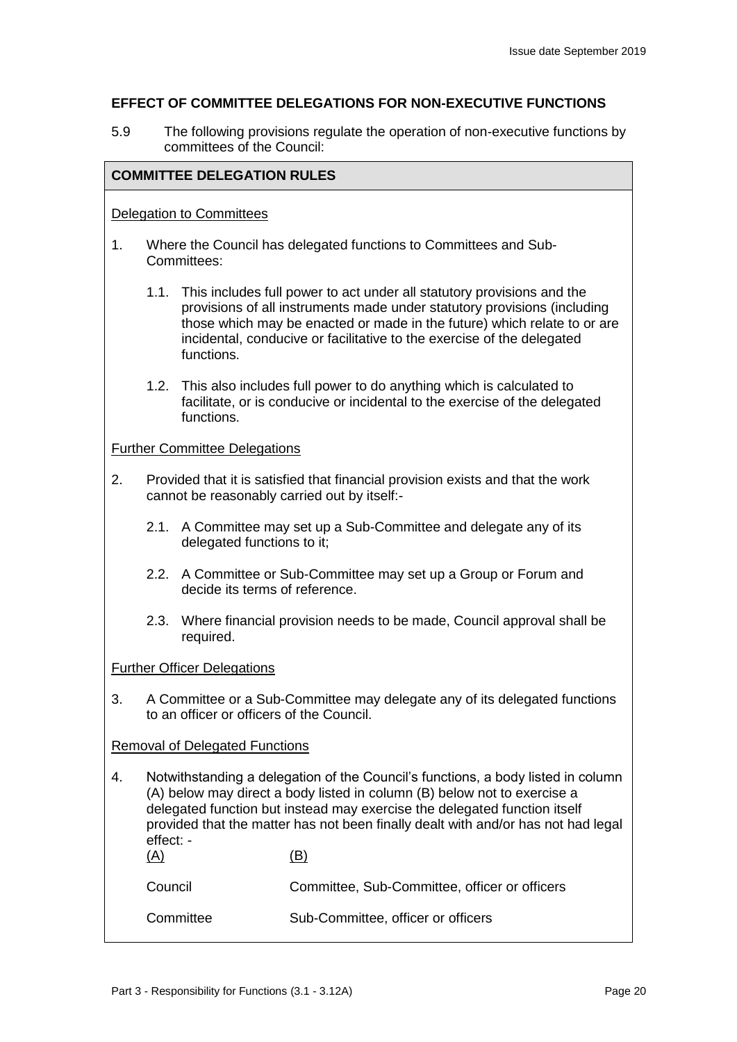#### **EFFECT OF COMMITTEE DELEGATIONS FOR NON-EXECUTIVE FUNCTIONS**

5.9 The following provisions regulate the operation of non-executive functions by committees of the Council:

#### **COMMITTEE DELEGATION RULES**

#### Delegation to Committees

- 1. Where the Council has delegated functions to Committees and Sub-Committees:
	- 1.1. This includes full power to act under all statutory provisions and the provisions of all instruments made under statutory provisions (including those which may be enacted or made in the future) which relate to or are incidental, conducive or facilitative to the exercise of the delegated functions.
	- 1.2. This also includes full power to do anything which is calculated to facilitate, or is conducive or incidental to the exercise of the delegated functions.

#### Further Committee Delegations

- 2. Provided that it is satisfied that financial provision exists and that the work cannot be reasonably carried out by itself:-
	- 2.1. A Committee may set up a Sub-Committee and delegate any of its delegated functions to it;
	- 2.2. A Committee or Sub-Committee may set up a Group or Forum and decide its terms of reference.
	- 2.3. Where financial provision needs to be made, Council approval shall be required.

#### Further Officer Delegations

3. A Committee or a Sub-Committee may delegate any of its delegated functions to an officer or officers of the Council.

#### Removal of Delegated Functions

4. Notwithstanding a delegation of the Council's functions, a body listed in column (A) below may direct a body listed in column (B) below not to exercise a delegated function but instead may exercise the delegated function itself provided that the matter has not been finally dealt with and/or has not had legal effect: -  $(A)$   $(B)$ 

| Council | Committee, Sub-Committee, officer or officers |  |
|---------|-----------------------------------------------|--|
|---------|-----------------------------------------------|--|

Committee Sub-Committee, officer or officers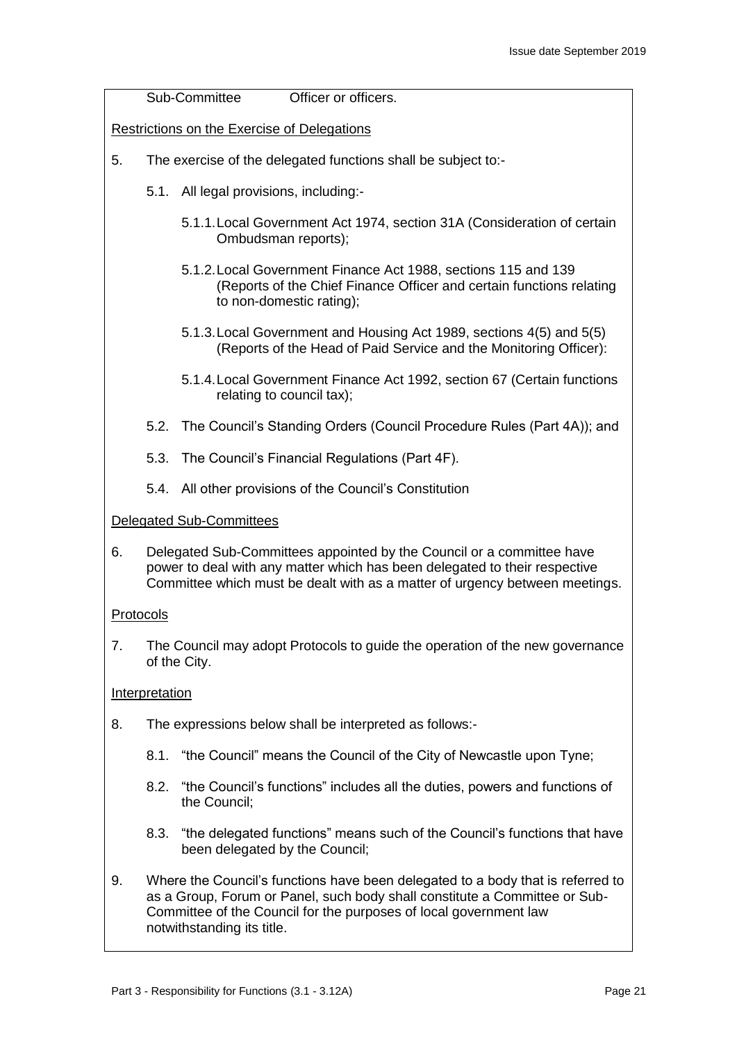Sub-Committee Officer or officers.

Restrictions on the Exercise of Delegations

- 5. The exercise of the delegated functions shall be subject to:-
	- 5.1. All legal provisions, including:-
		- 5.1.1.Local Government Act 1974, section 31A (Consideration of certain Ombudsman reports);
		- 5.1.2.Local Government Finance Act 1988, sections 115 and 139 (Reports of the Chief Finance Officer and certain functions relating to non-domestic rating);
		- 5.1.3.Local Government and Housing Act 1989, sections 4(5) and 5(5) (Reports of the Head of Paid Service and the Monitoring Officer):
		- 5.1.4.Local Government Finance Act 1992, section 67 (Certain functions relating to council tax);
	- 5.2. The Council's Standing Orders (Council Procedure Rules (Part 4A)); and
	- 5.3. The Council's Financial Regulations (Part 4F).
	- 5.4. All other provisions of the Council's Constitution

#### Delegated Sub-Committees

6. Delegated Sub-Committees appointed by the Council or a committee have power to deal with any matter which has been delegated to their respective Committee which must be dealt with as a matter of urgency between meetings.

#### Protocols

7. The Council may adopt Protocols to guide the operation of the new governance of the City.

#### Interpretation

- 8. The expressions below shall be interpreted as follows:-
	- 8.1. "the Council" means the Council of the City of Newcastle upon Tyne;
	- 8.2. "the Council's functions" includes all the duties, powers and functions of the Council;
	- 8.3. "the delegated functions" means such of the Council's functions that have been delegated by the Council;
- 9. Where the Council's functions have been delegated to a body that is referred to as a Group, Forum or Panel, such body shall constitute a Committee or Sub-Committee of the Council for the purposes of local government law notwithstanding its title.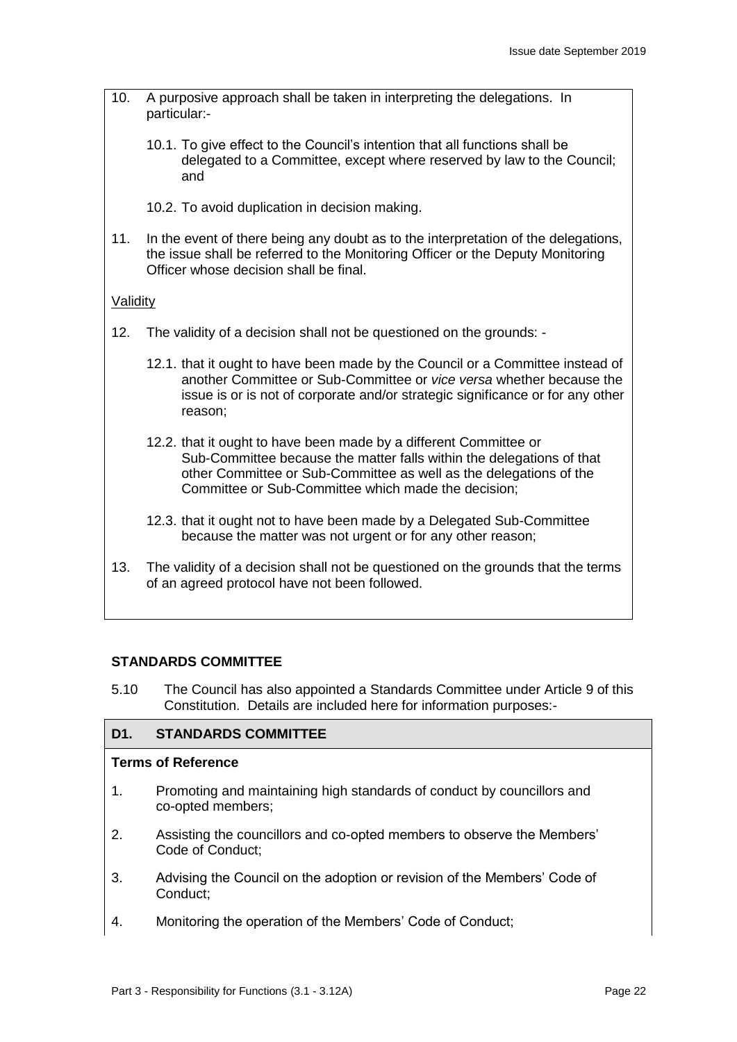- 10. A purposive approach shall be taken in interpreting the delegations. In particular:-
	- 10.1. To give effect to the Council's intention that all functions shall be delegated to a Committee, except where reserved by law to the Council; and
	- 10.2. To avoid duplication in decision making.
- 11. In the event of there being any doubt as to the interpretation of the delegations, the issue shall be referred to the Monitoring Officer or the Deputy Monitoring Officer whose decision shall be final.

#### **Validity**

- 12. The validity of a decision shall not be questioned on the grounds:
	- 12.1. that it ought to have been made by the Council or a Committee instead of another Committee or Sub-Committee or *vice versa* whether because the issue is or is not of corporate and/or strategic significance or for any other reason;
	- 12.2. that it ought to have been made by a different Committee or Sub-Committee because the matter falls within the delegations of that other Committee or Sub-Committee as well as the delegations of the Committee or Sub-Committee which made the decision;
	- 12.3. that it ought not to have been made by a Delegated Sub-Committee because the matter was not urgent or for any other reason;
- 13. The validity of a decision shall not be questioned on the grounds that the terms of an agreed protocol have not been followed.

#### **STANDARDS COMMITTEE**

5.10 The Council has also appointed a Standards Committee under Article 9 of this Constitution. Details are included here for information purposes:-

#### **D1. STANDARDS COMMITTEE**

#### **Terms of Reference**

- 1. Promoting and maintaining high standards of conduct by councillors and co-opted members;
- 2. Assisting the councillors and co-opted members to observe the Members' Code of Conduct;
- 3. Advising the Council on the adoption or revision of the Members' Code of Conduct;
- 4. Monitoring the operation of the Members' Code of Conduct;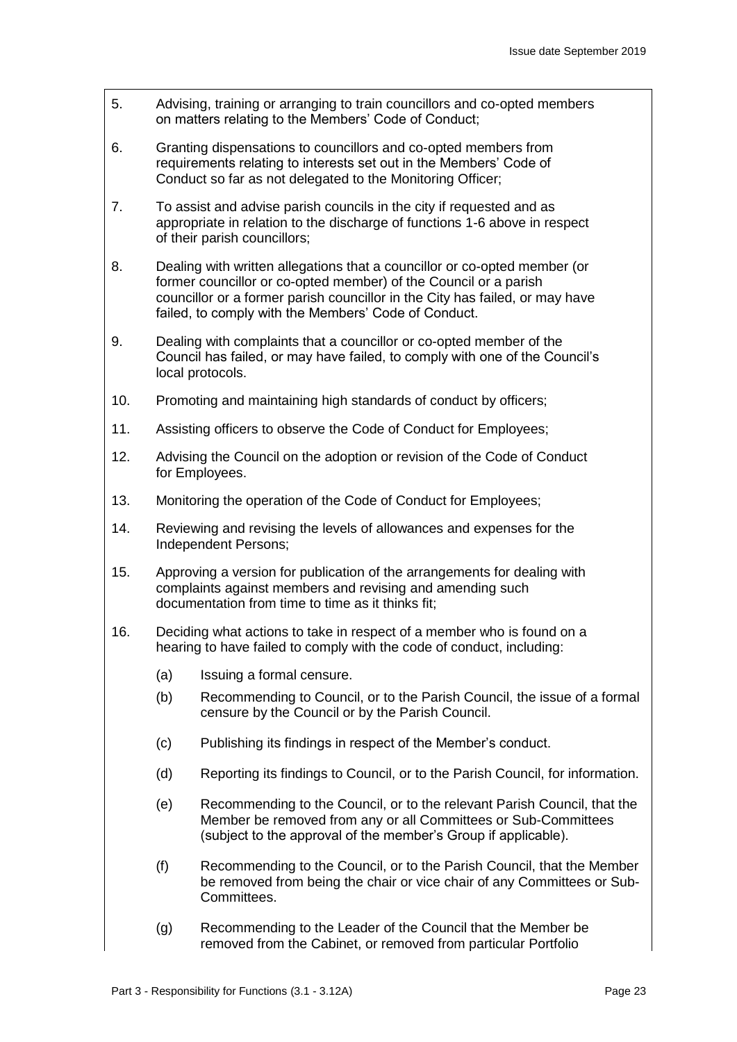- 5. Advising, training or arranging to train councillors and co-opted members on matters relating to the Members' Code of Conduct;
- 6. Granting dispensations to councillors and co-opted members from requirements relating to interests set out in the Members' Code of Conduct so far as not delegated to the Monitoring Officer;
- 7. To assist and advise parish councils in the city if requested and as appropriate in relation to the discharge of functions 1-6 above in respect of their parish councillors;
- 8. Dealing with written allegations that a councillor or co-opted member (or former councillor or co-opted member) of the Council or a parish councillor or a former parish councillor in the City has failed, or may have failed, to comply with the Members' Code of Conduct.
- 9. Dealing with complaints that a councillor or co-opted member of the Council has failed, or may have failed, to comply with one of the Council's local protocols.
- 10. Promoting and maintaining high standards of conduct by officers;
- 11. Assisting officers to observe the Code of Conduct for Employees;
- 12. Advising the Council on the adoption or revision of the Code of Conduct for Employees.
- 13. Monitoring the operation of the Code of Conduct for Employees;
- 14. Reviewing and revising the levels of allowances and expenses for the Independent Persons;
- 15. Approving a version for publication of the arrangements for dealing with complaints against members and revising and amending such documentation from time to time as it thinks fit;
- 16. Deciding what actions to take in respect of a member who is found on a hearing to have failed to comply with the code of conduct, including:
	- (a) Issuing a formal censure.
	- (b) Recommending to Council, or to the Parish Council, the issue of a formal censure by the Council or by the Parish Council.
	- (c) Publishing its findings in respect of the Member's conduct.
	- (d) Reporting its findings to Council, or to the Parish Council, for information.
	- (e) Recommending to the Council, or to the relevant Parish Council, that the Member be removed from any or all Committees or Sub-Committees (subject to the approval of the member's Group if applicable).
	- (f) Recommending to the Council, or to the Parish Council, that the Member be removed from being the chair or vice chair of any Committees or Sub-Committees.
	- (g) Recommending to the Leader of the Council that the Member be removed from the Cabinet, or removed from particular Portfolio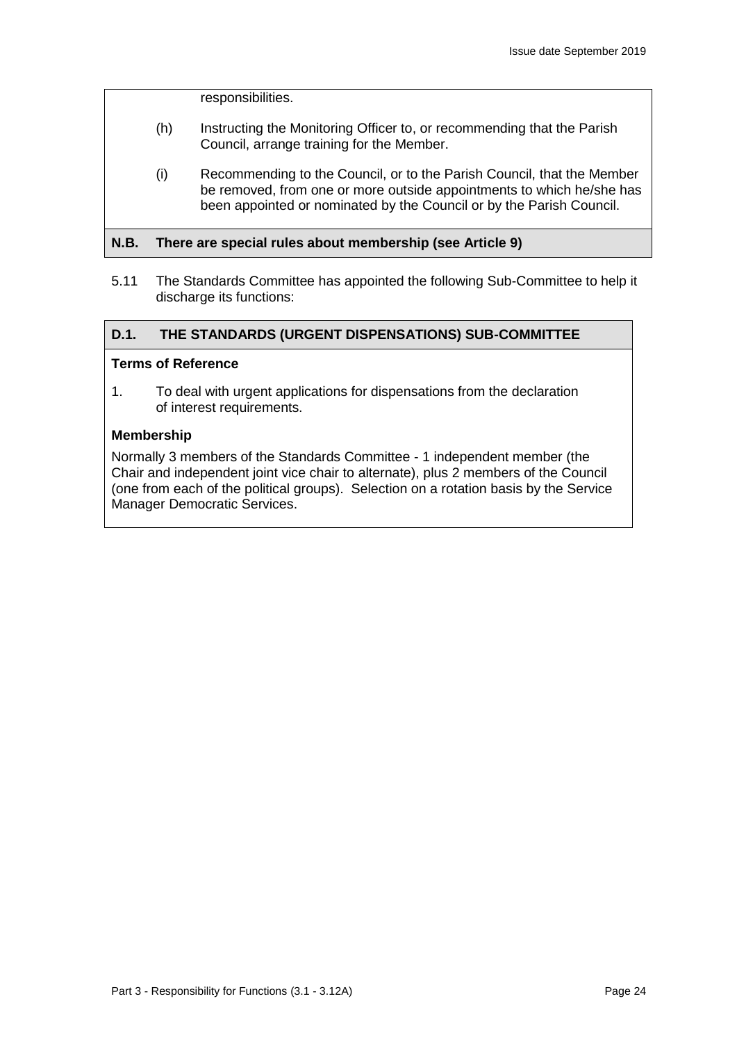responsibilities.

- (h) Instructing the Monitoring Officer to, or recommending that the Parish Council, arrange training for the Member.
- (i) Recommending to the Council, or to the Parish Council, that the Member be removed, from one or more outside appointments to which he/she has been appointed or nominated by the Council or by the Parish Council.

#### **N.B. There are special rules about membership (see Article 9)**

5.11 The Standards Committee has appointed the following Sub-Committee to help it discharge its functions:

#### **D.1. THE STANDARDS (URGENT DISPENSATIONS) SUB-COMMITTEE**

#### **Terms of Reference**

1. To deal with urgent applications for dispensations from the declaration of interest requirements.

#### **Membership**

Normally 3 members of the Standards Committee - 1 independent member (the Chair and independent joint vice chair to alternate), plus 2 members of the Council (one from each of the political groups). Selection on a rotation basis by the Service Manager Democratic Services.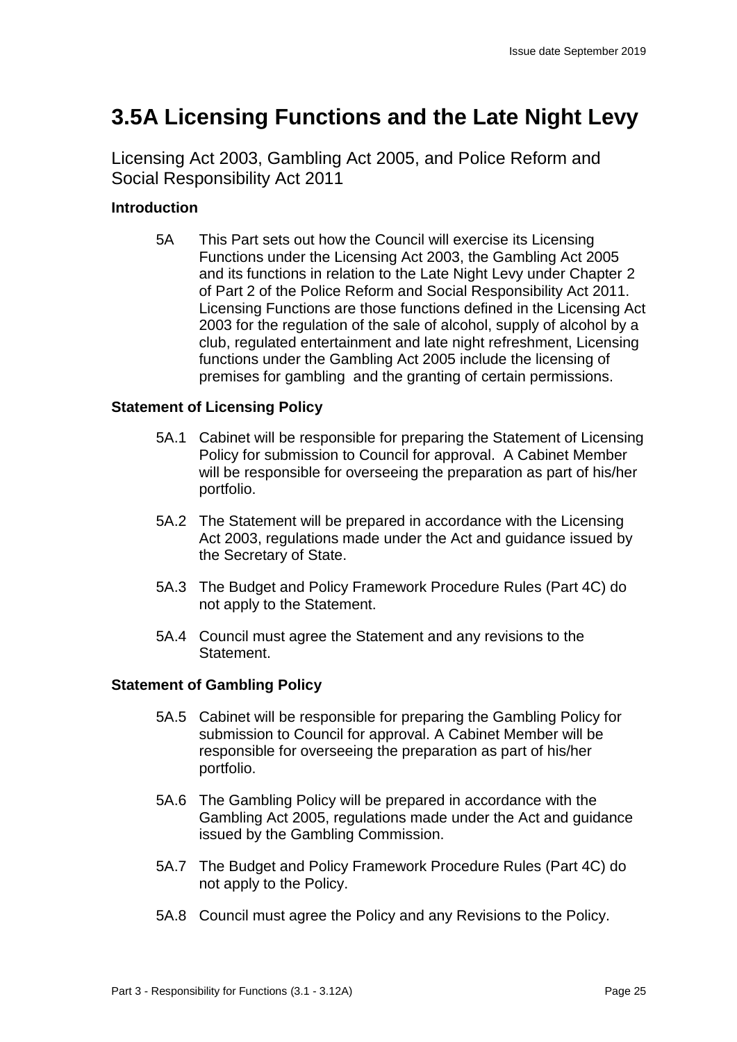## **3.5A Licensing Functions and the Late Night Levy**

Licensing Act 2003, Gambling Act 2005, and Police Reform and Social Responsibility Act 2011

## **Introduction**

5A This Part sets out how the Council will exercise its Licensing Functions under the Licensing Act 2003, the Gambling Act 2005 and its functions in relation to the Late Night Levy under Chapter 2 of Part 2 of the Police Reform and Social Responsibility Act 2011. Licensing Functions are those functions defined in the Licensing Act 2003 for the regulation of the sale of alcohol, supply of alcohol by a club, regulated entertainment and late night refreshment, Licensing functions under the Gambling Act 2005 include the licensing of premises for gambling and the granting of certain permissions.

## **Statement of Licensing Policy**

- 5A.1 Cabinet will be responsible for preparing the Statement of Licensing Policy for submission to Council for approval. A Cabinet Member will be responsible for overseeing the preparation as part of his/her portfolio.
- 5A.2 The Statement will be prepared in accordance with the Licensing Act 2003, regulations made under the Act and guidance issued by the Secretary of State.
- 5A.3 The Budget and Policy Framework Procedure Rules (Part 4C) do not apply to the Statement.
- 5A.4 Council must agree the Statement and any revisions to the Statement.

## **Statement of Gambling Policy**

- 5A.5 Cabinet will be responsible for preparing the Gambling Policy for submission to Council for approval. A Cabinet Member will be responsible for overseeing the preparation as part of his/her portfolio.
- 5A.6 The Gambling Policy will be prepared in accordance with the Gambling Act 2005, regulations made under the Act and guidance issued by the Gambling Commission.
- 5A.7 The Budget and Policy Framework Procedure Rules (Part 4C) do not apply to the Policy.
- 5A.8 Council must agree the Policy and any Revisions to the Policy.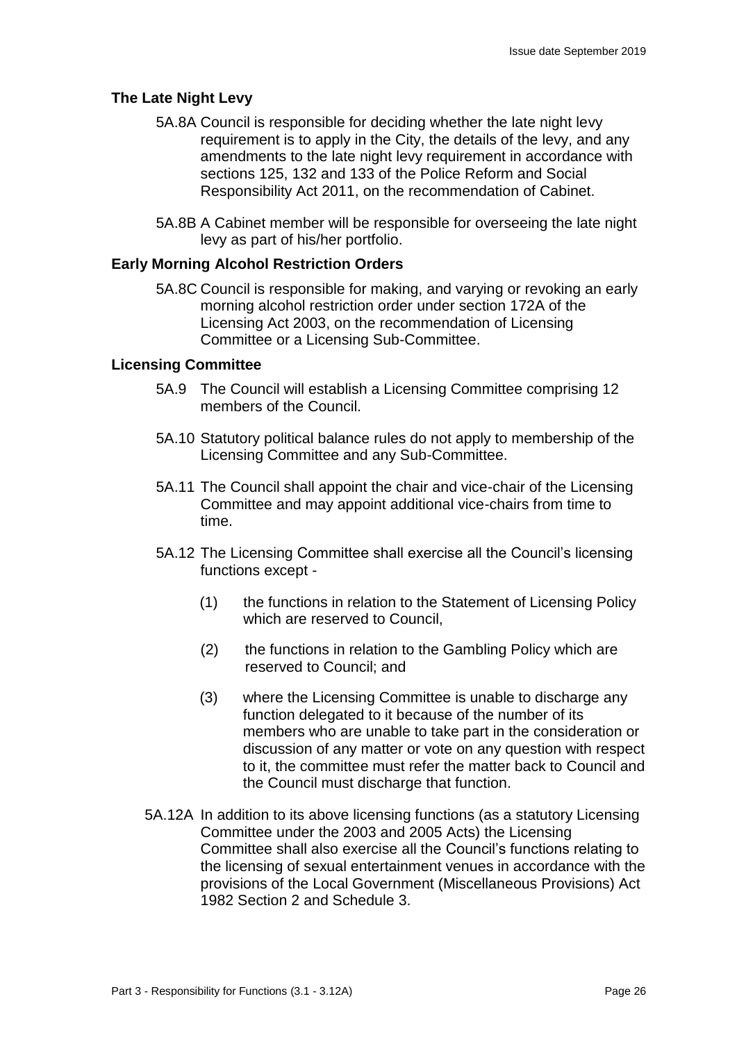## **The Late Night Levy**

- 5A.8A Council is responsible for deciding whether the late night levy requirement is to apply in the City, the details of the levy, and any amendments to the late night levy requirement in accordance with sections 125, 132 and 133 of the Police Reform and Social Responsibility Act 2011, on the recommendation of Cabinet.
- 5A.8B A Cabinet member will be responsible for overseeing the late night levy as part of his/her portfolio.

## **Early Morning Alcohol Restriction Orders**

5A.8C Council is responsible for making, and varying or revoking an early morning alcohol restriction order under section 172A of the Licensing Act 2003, on the recommendation of Licensing Committee or a Licensing Sub-Committee.

#### **Licensing Committee**

- 5A.9 The Council will establish a Licensing Committee comprising 12 members of the Council.
- 5A.10 Statutory political balance rules do not apply to membership of the Licensing Committee and any Sub-Committee.
- 5A.11 The Council shall appoint the chair and vice-chair of the Licensing Committee and may appoint additional vice-chairs from time to time.
- 5A.12 The Licensing Committee shall exercise all the Council's licensing functions except -
	- (1) the functions in relation to the Statement of Licensing Policy which are reserved to Council.
	- (2) the functions in relation to the Gambling Policy which are reserved to Council; and
	- (3) where the Licensing Committee is unable to discharge any function delegated to it because of the number of its members who are unable to take part in the consideration or discussion of any matter or vote on any question with respect to it, the committee must refer the matter back to Council and the Council must discharge that function.
- 5A.12A In addition to its above licensing functions (as a statutory Licensing Committee under the 2003 and 2005 Acts) the Licensing Committee shall also exercise all the Council's functions relating to the licensing of sexual entertainment venues in accordance with the provisions of the Local Government (Miscellaneous Provisions) Act 1982 Section 2 and Schedule 3.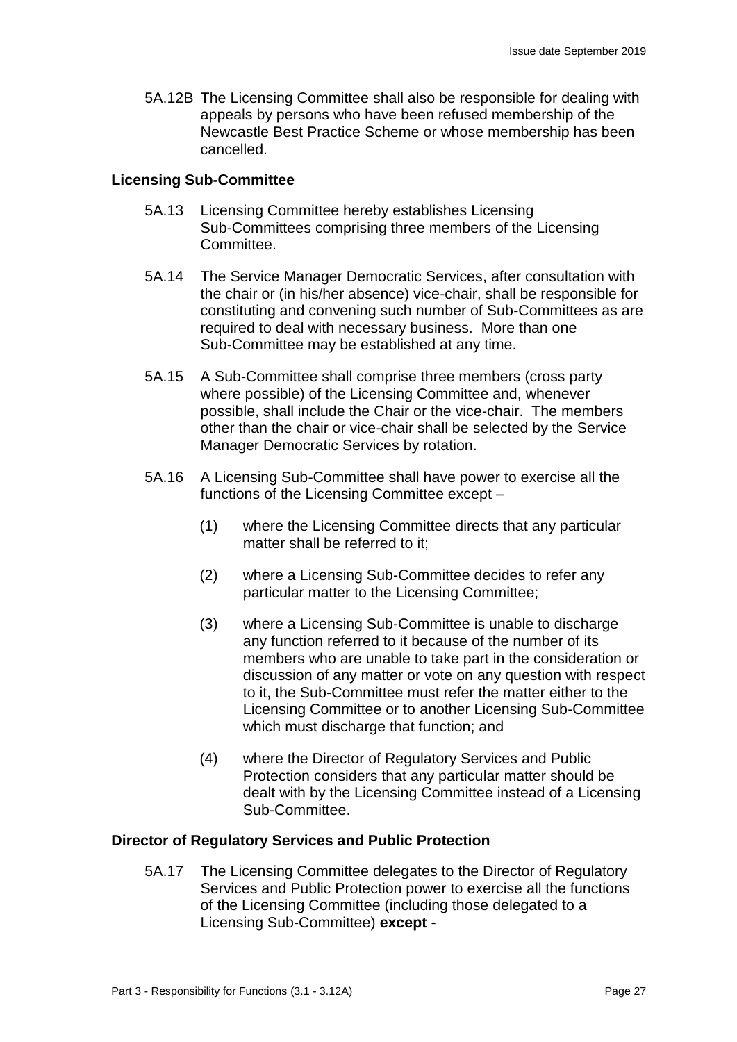5A.12B The Licensing Committee shall also be responsible for dealing with appeals by persons who have been refused membership of the Newcastle Best Practice Scheme or whose membership has been cancelled.

### **Licensing Sub-Committee**

- 5A.13 Licensing Committee hereby establishes Licensing Sub-Committees comprising three members of the Licensing **Committee**
- 5A.14 The Service Manager Democratic Services, after consultation with the chair or (in his/her absence) vice-chair, shall be responsible for constituting and convening such number of Sub-Committees as are required to deal with necessary business. More than one Sub-Committee may be established at any time.
- 5A.15 A Sub-Committee shall comprise three members (cross party where possible) of the Licensing Committee and, whenever possible, shall include the Chair or the vice-chair. The members other than the chair or vice-chair shall be selected by the Service Manager Democratic Services by rotation.
- 5A.16 A Licensing Sub-Committee shall have power to exercise all the functions of the Licensing Committee except –
	- (1) where the Licensing Committee directs that any particular matter shall be referred to it;
	- (2) where a Licensing Sub-Committee decides to refer any particular matter to the Licensing Committee;
	- (3) where a Licensing Sub-Committee is unable to discharge any function referred to it because of the number of its members who are unable to take part in the consideration or discussion of any matter or vote on any question with respect to it, the Sub-Committee must refer the matter either to the Licensing Committee or to another Licensing Sub-Committee which must discharge that function; and
	- (4) where the Director of Regulatory Services and Public Protection considers that any particular matter should be dealt with by the Licensing Committee instead of a Licensing Sub-Committee.

## **Director of Regulatory Services and Public Protection**

5A.17 The Licensing Committee delegates to the Director of Regulatory Services and Public Protection power to exercise all the functions of the Licensing Committee (including those delegated to a Licensing Sub-Committee) **except** -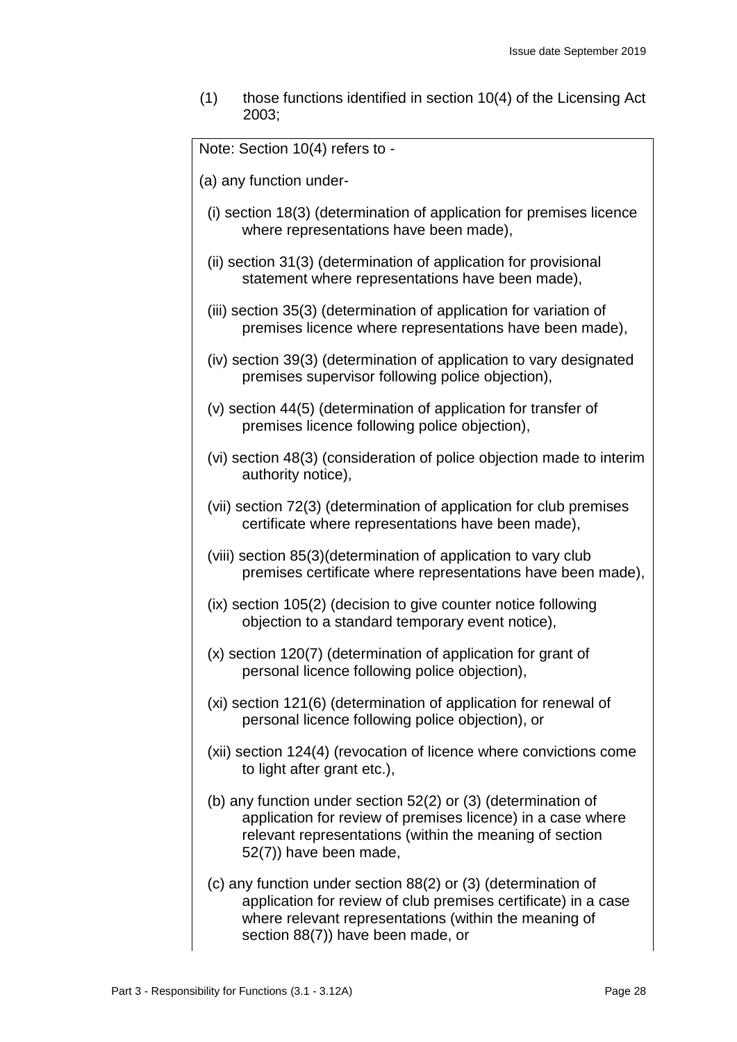$(1)$  those functions identified in section 10(4) of the Licensing Act 2003;

Note: Section 10(4) refers to -

- (a) any function under-
	- (i) section 18(3) (determination of application for premises licence where representations have been made),
	- (ii) section 31(3) (determination of application for provisional statement where representations have been made),
- (iii) section 35(3) (determination of application for variation of premises licence where representations have been made),
- (iv) section 39(3) (determination of application to vary designated premises supervisor following police objection),
- (v) section 44(5) (determination of application for transfer of premises licence following police objection),
- (vi) section 48(3) (consideration of police objection made to interim authority notice),
- (vii) section 72(3) (determination of application for club premises certificate where representations have been made),
- (viii) section 85(3)(determination of application to vary club premises certificate where representations have been made),
- (ix) section 105(2) (decision to give counter notice following objection to a standard temporary event notice),
- (x) section 120(7) (determination of application for grant of personal licence following police objection),
- (xi) section 121(6) (determination of application for renewal of personal licence following police objection), or
- (xii) section 124(4) (revocation of licence where convictions come to light after grant etc.),
- (b) any function under section 52(2) or (3) (determination of application for review of premises licence) in a case where relevant representations (within the meaning of section 52(7)) have been made,
- (c) any function under section 88(2) or (3) (determination of application for review of club premises certificate) in a case where relevant representations (within the meaning of section 88(7)) have been made, or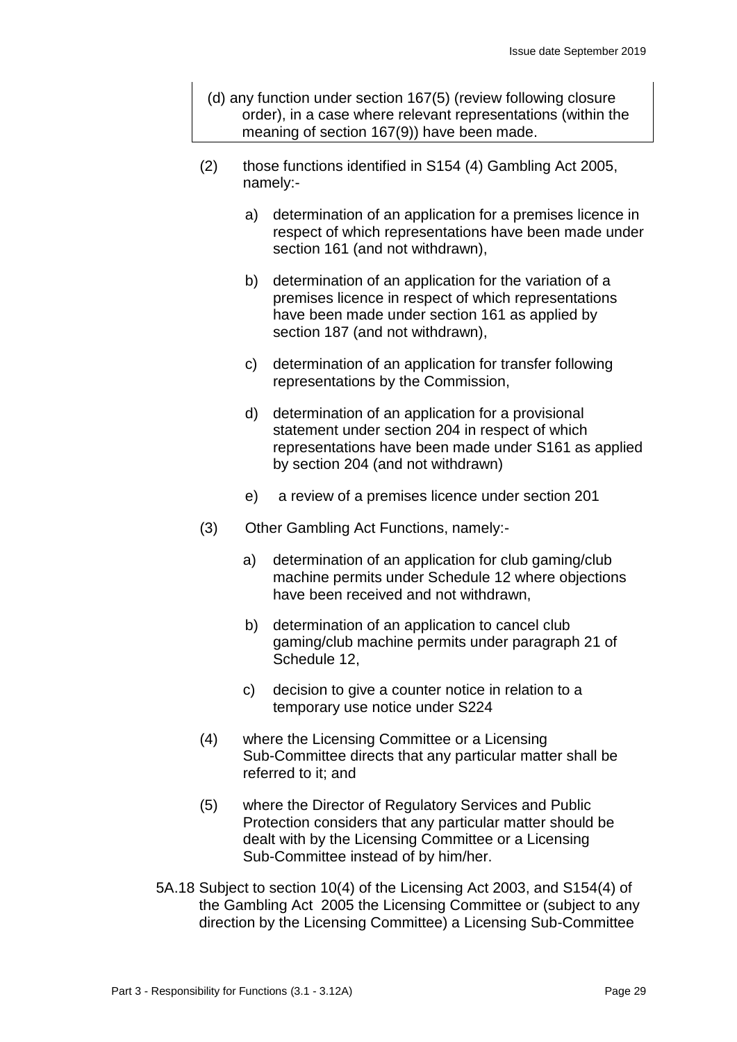- (d) any function under section 167(5) (review following closure order), in a case where relevant representations (within the meaning of section 167(9)) have been made.
- (2) those functions identified in S154 (4) Gambling Act 2005, namely:
	- a) determination of an application for a premises licence in respect of which representations have been made under section 161 (and not withdrawn),
	- b) determination of an application for the variation of a premises licence in respect of which representations have been made under section 161 as applied by section 187 (and not withdrawn),
	- c) determination of an application for transfer following representations by the Commission,
	- d) determination of an application for a provisional statement under section 204 in respect of which representations have been made under S161 as applied by section 204 (and not withdrawn)
	- e) a review of a premises licence under section 201
- (3) Other Gambling Act Functions, namely:
	- a) determination of an application for club gaming/club machine permits under Schedule 12 where objections have been received and not withdrawn,
	- b) determination of an application to cancel club gaming/club machine permits under paragraph 21 of Schedule 12,
	- c) decision to give a counter notice in relation to a temporary use notice under S224
- (4) where the Licensing Committee or a Licensing Sub-Committee directs that any particular matter shall be referred to it; and
- (5) where the Director of Regulatory Services and Public Protection considers that any particular matter should be dealt with by the Licensing Committee or a Licensing Sub-Committee instead of by him/her.
- 5A.18 Subject to section 10(4) of the Licensing Act 2003, and S154(4) of the Gambling Act 2005 the Licensing Committee or (subject to any direction by the Licensing Committee) a Licensing Sub-Committee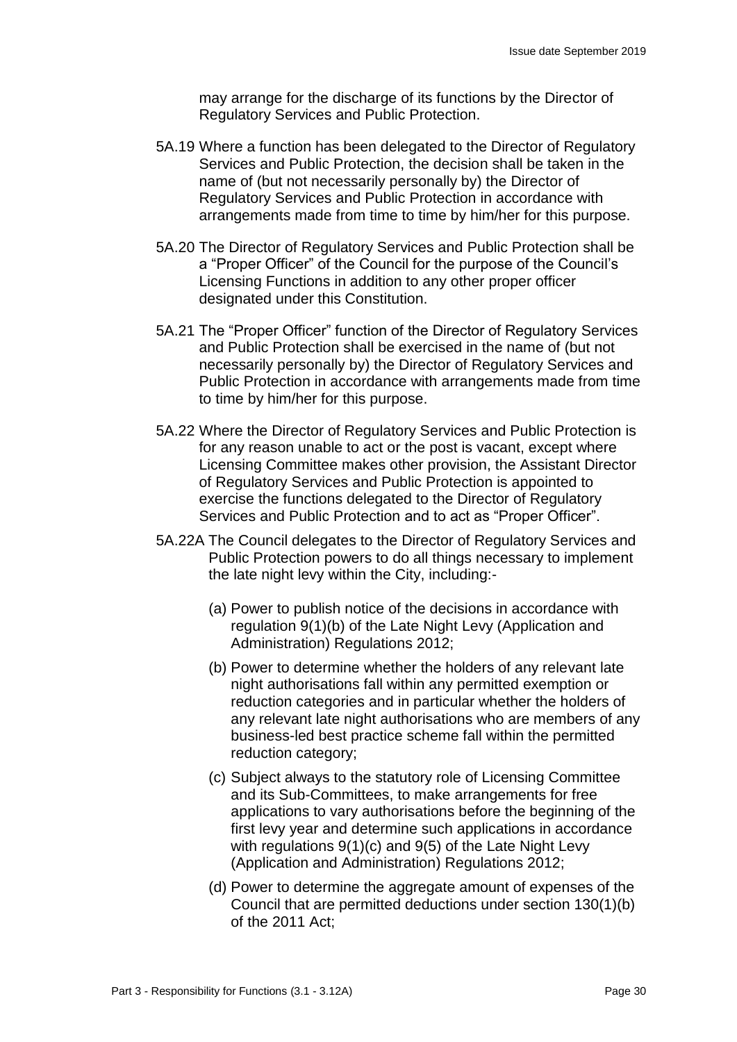may arrange for the discharge of its functions by the Director of Regulatory Services and Public Protection.

- 5A.19 Where a function has been delegated to the Director of Regulatory Services and Public Protection, the decision shall be taken in the name of (but not necessarily personally by) the Director of Regulatory Services and Public Protection in accordance with arrangements made from time to time by him/her for this purpose.
- 5A.20 The Director of Regulatory Services and Public Protection shall be a "Proper Officer" of the Council for the purpose of the Council's Licensing Functions in addition to any other proper officer designated under this Constitution.
- 5A.21 The "Proper Officer" function of the Director of Regulatory Services and Public Protection shall be exercised in the name of (but not necessarily personally by) the Director of Regulatory Services and Public Protection in accordance with arrangements made from time to time by him/her for this purpose.
- 5A.22 Where the Director of Regulatory Services and Public Protection is for any reason unable to act or the post is vacant, except where Licensing Committee makes other provision, the Assistant Director of Regulatory Services and Public Protection is appointed to exercise the functions delegated to the Director of Regulatory Services and Public Protection and to act as "Proper Officer".
- 5A.22A The Council delegates to the Director of Regulatory Services and Public Protection powers to do all things necessary to implement the late night levy within the City, including:-
	- (a) Power to publish notice of the decisions in accordance with regulation 9(1)(b) of the Late Night Levy (Application and Administration) Regulations 2012;
	- (b) Power to determine whether the holders of any relevant late night authorisations fall within any permitted exemption or reduction categories and in particular whether the holders of any relevant late night authorisations who are members of any business-led best practice scheme fall within the permitted reduction category;
	- (c) Subject always to the statutory role of Licensing Committee and its Sub-Committees, to make arrangements for free applications to vary authorisations before the beginning of the first levy year and determine such applications in accordance with regulations 9(1)(c) and 9(5) of the Late Night Levy (Application and Administration) Regulations 2012;
	- (d) Power to determine the aggregate amount of expenses of the Council that are permitted deductions under section 130(1)(b) of the 2011 Act;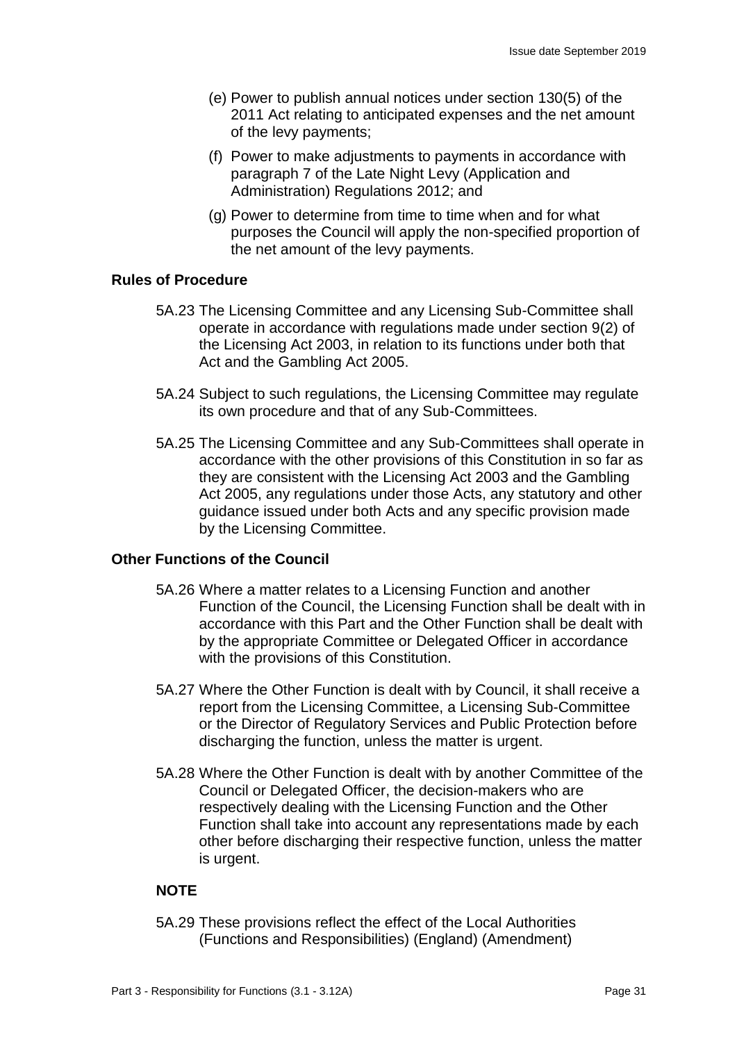- (e) Power to publish annual notices under section 130(5) of the 2011 Act relating to anticipated expenses and the net amount of the levy payments;
- (f) Power to make adjustments to payments in accordance with paragraph 7 of the Late Night Levy (Application and Administration) Regulations 2012; and
- (g) Power to determine from time to time when and for what purposes the Council will apply the non-specified proportion of the net amount of the levy payments.

## **Rules of Procedure**

- 5A.23 The Licensing Committee and any Licensing Sub-Committee shall operate in accordance with regulations made under section 9(2) of the Licensing Act 2003, in relation to its functions under both that Act and the Gambling Act 2005.
- 5A.24 Subject to such regulations, the Licensing Committee may regulate its own procedure and that of any Sub-Committees.
- 5A.25 The Licensing Committee and any Sub-Committees shall operate in accordance with the other provisions of this Constitution in so far as they are consistent with the Licensing Act 2003 and the Gambling Act 2005, any regulations under those Acts, any statutory and other guidance issued under both Acts and any specific provision made by the Licensing Committee.

## **Other Functions of the Council**

- 5A.26 Where a matter relates to a Licensing Function and another Function of the Council, the Licensing Function shall be dealt with in accordance with this Part and the Other Function shall be dealt with by the appropriate Committee or Delegated Officer in accordance with the provisions of this Constitution.
- 5A.27 Where the Other Function is dealt with by Council, it shall receive a report from the Licensing Committee, a Licensing Sub-Committee or the Director of Regulatory Services and Public Protection before discharging the function, unless the matter is urgent.
- 5A.28 Where the Other Function is dealt with by another Committee of the Council or Delegated Officer, the decision-makers who are respectively dealing with the Licensing Function and the Other Function shall take into account any representations made by each other before discharging their respective function, unless the matter is urgent.

## **NOTE**

5A.29 These provisions reflect the effect of the Local Authorities (Functions and Responsibilities) (England) (Amendment)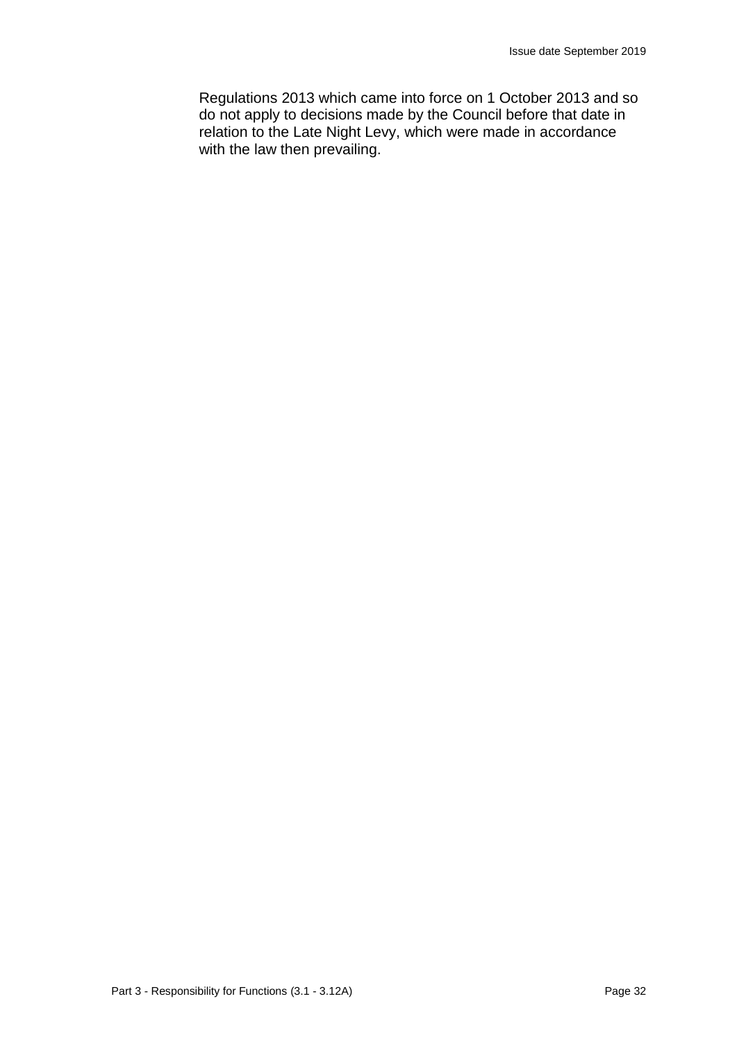Regulations 2013 which came into force on 1 October 2013 and so do not apply to decisions made by the Council before that date in relation to the Late Night Levy, which were made in accordance with the law then prevailing.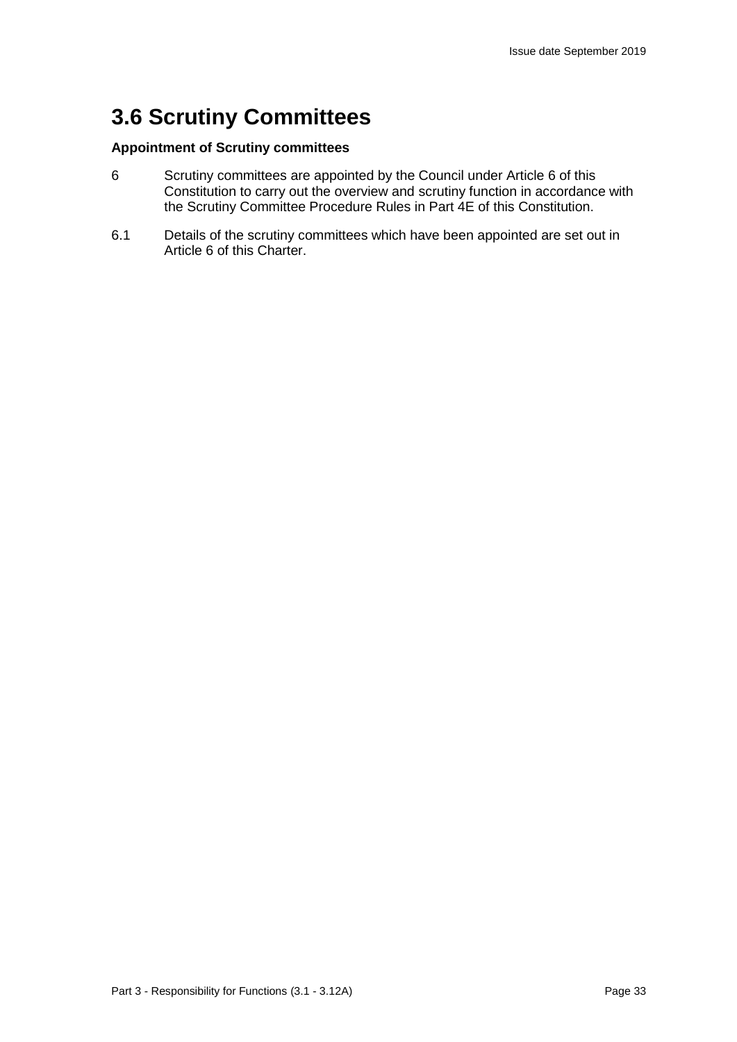## **3.6 Scrutiny Committees**

#### **Appointment of Scrutiny committees**

- 6 Scrutiny committees are appointed by the Council under Article 6 of this Constitution to carry out the overview and scrutiny function in accordance with the Scrutiny Committee Procedure Rules in Part 4E of this Constitution.
- 6.1 Details of the scrutiny committees which have been appointed are set out in Article 6 of this Charter.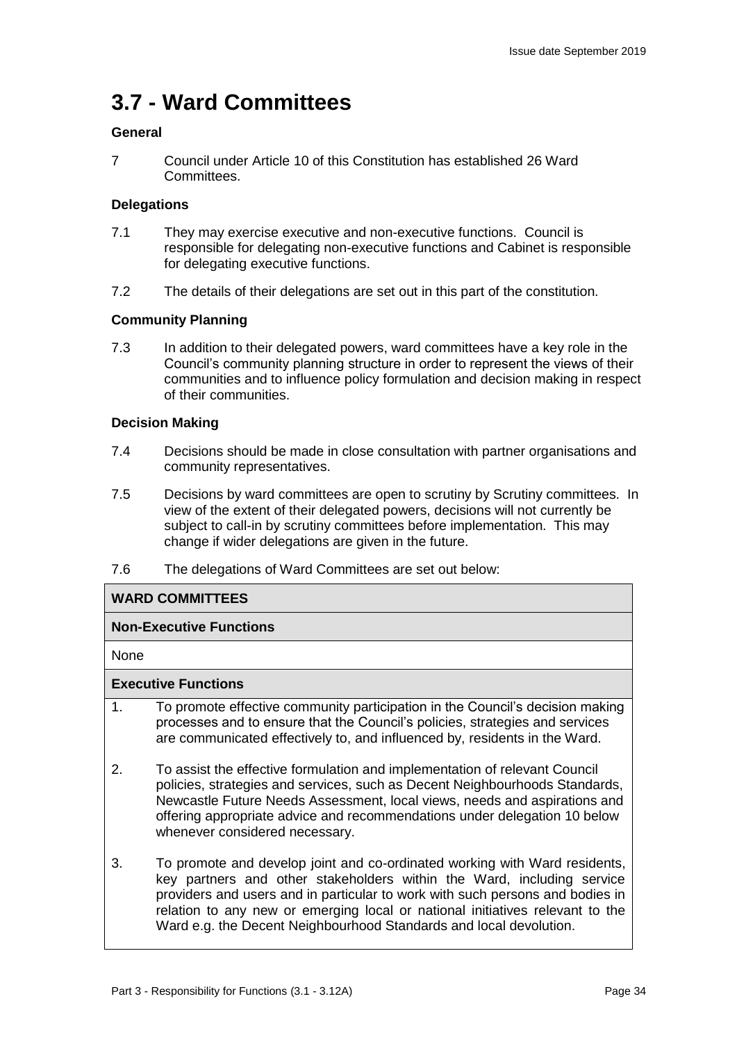## **3.7 - Ward Committees**

#### **General**

7 Council under Article 10 of this Constitution has established 26 Ward Committees.

#### **Delegations**

- 7.1 They may exercise executive and non-executive functions. Council is responsible for delegating non-executive functions and Cabinet is responsible for delegating executive functions.
- 7.2 The details of their delegations are set out in this part of the constitution.

#### **Community Planning**

7.3 In addition to their delegated powers, ward committees have a key role in the Council's community planning structure in order to represent the views of their communities and to influence policy formulation and decision making in respect of their communities.

#### **Decision Making**

- 7.4 Decisions should be made in close consultation with partner organisations and community representatives.
- 7.5 Decisions by ward committees are open to scrutiny by Scrutiny committees. In view of the extent of their delegated powers, decisions will not currently be subject to call-in by scrutiny committees before implementation. This may change if wider delegations are given in the future.
- 7.6 The delegations of Ward Committees are set out below:

#### **WARD COMMITTEES**

#### **Non-Executive Functions**

None

#### **Executive Functions**

- 1. To promote effective community participation in the Council's decision making processes and to ensure that the Council's policies, strategies and services are communicated effectively to, and influenced by, residents in the Ward.
- 2. To assist the effective formulation and implementation of relevant Council policies, strategies and services, such as Decent Neighbourhoods Standards, Newcastle Future Needs Assessment, local views, needs and aspirations and offering appropriate advice and recommendations under delegation 10 below whenever considered necessary.
- 3. To promote and develop joint and co-ordinated working with Ward residents, key partners and other stakeholders within the Ward, including service providers and users and in particular to work with such persons and bodies in relation to any new or emerging local or national initiatives relevant to the Ward e.g. the Decent Neighbourhood Standards and local devolution.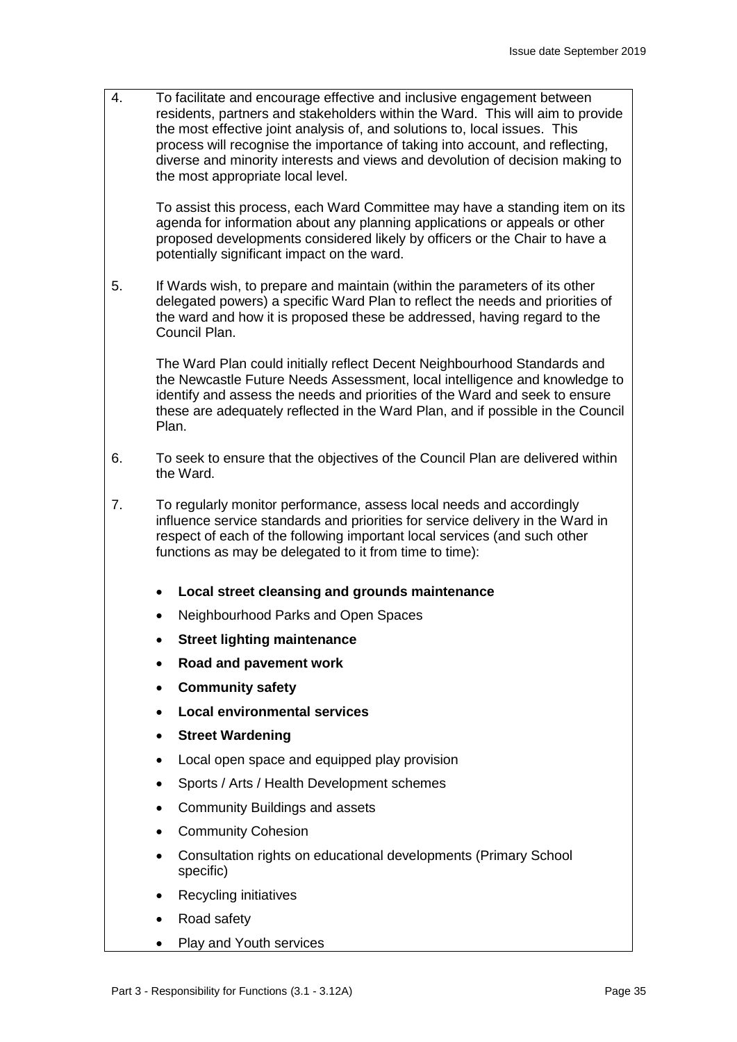4. To facilitate and encourage effective and inclusive engagement between residents, partners and stakeholders within the Ward. This will aim to provide the most effective joint analysis of, and solutions to, local issues. This process will recognise the importance of taking into account, and reflecting, diverse and minority interests and views and devolution of decision making to the most appropriate local level.

To assist this process, each Ward Committee may have a standing item on its agenda for information about any planning applications or appeals or other proposed developments considered likely by officers or the Chair to have a potentially significant impact on the ward.

5. If Wards wish, to prepare and maintain (within the parameters of its other delegated powers) a specific Ward Plan to reflect the needs and priorities of the ward and how it is proposed these be addressed, having regard to the Council Plan.

The Ward Plan could initially reflect Decent Neighbourhood Standards and the Newcastle Future Needs Assessment, local intelligence and knowledge to identify and assess the needs and priorities of the Ward and seek to ensure these are adequately reflected in the Ward Plan, and if possible in the Council Plan.

- 6. To seek to ensure that the objectives of the Council Plan are delivered within the Ward.
- 7. To regularly monitor performance, assess local needs and accordingly influence service standards and priorities for service delivery in the Ward in respect of each of the following important local services (and such other functions as may be delegated to it from time to time):
	- **Local street cleansing and grounds maintenance**
	- Neighbourhood Parks and Open Spaces
	- **Street lighting maintenance**
	- **Road and pavement work**
	- **Community safety**
	- **Local environmental services**
	- **Street Wardening**
	- Local open space and equipped play provision
	- Sports / Arts / Health Development schemes
	- Community Buildings and assets
	- **Community Cohesion**
	- Consultation rights on educational developments (Primary School specific)
	- Recycling initiatives
	- Road safety
	- Play and Youth services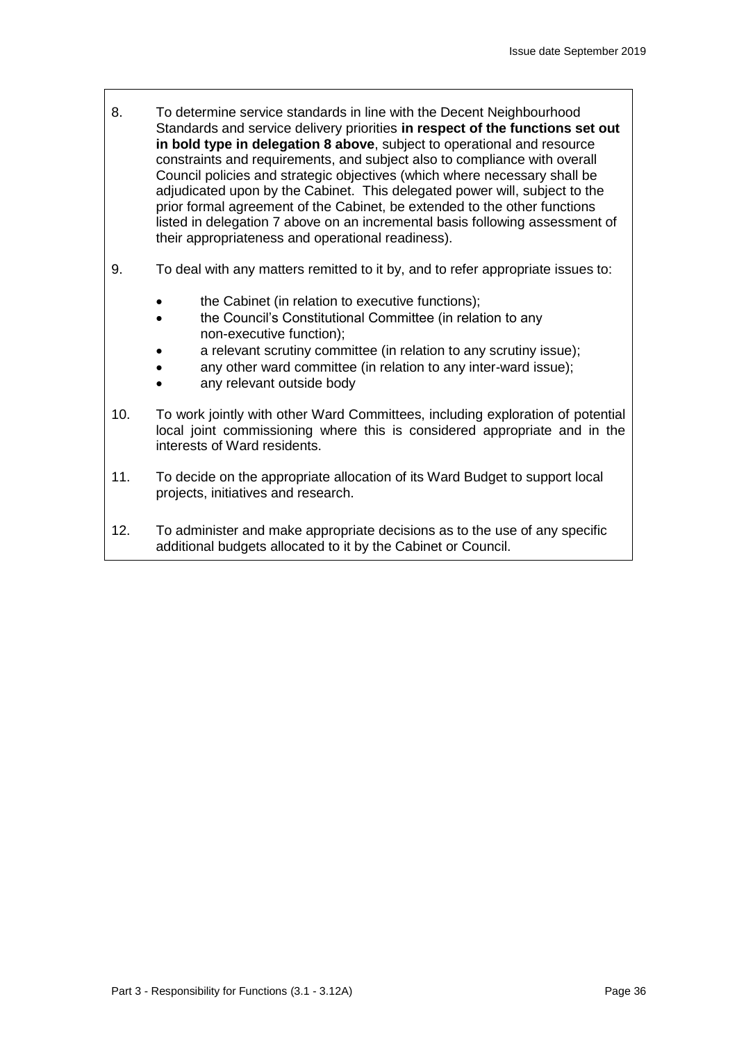- 8. To determine service standards in line with the Decent Neighbourhood Standards and service delivery priorities **in respect of the functions set out in bold type in delegation 8 above**, subject to operational and resource constraints and requirements, and subject also to compliance with overall Council policies and strategic objectives (which where necessary shall be adjudicated upon by the Cabinet. This delegated power will, subject to the prior formal agreement of the Cabinet, be extended to the other functions listed in delegation 7 above on an incremental basis following assessment of their appropriateness and operational readiness).
- 9. To deal with any matters remitted to it by, and to refer appropriate issues to:
	- the Cabinet (in relation to executive functions);
	- the Council's Constitutional Committee (in relation to any non-executive function);
	- a relevant scrutiny committee (in relation to any scrutiny issue);
	- any other ward committee (in relation to any inter-ward issue);
	- any relevant outside body
- 10. To work jointly with other Ward Committees, including exploration of potential local joint commissioning where this is considered appropriate and in the interests of Ward residents.
- 11. To decide on the appropriate allocation of its Ward Budget to support local projects, initiatives and research.
- 12. To administer and make appropriate decisions as to the use of any specific additional budgets allocated to it by the Cabinet or Council.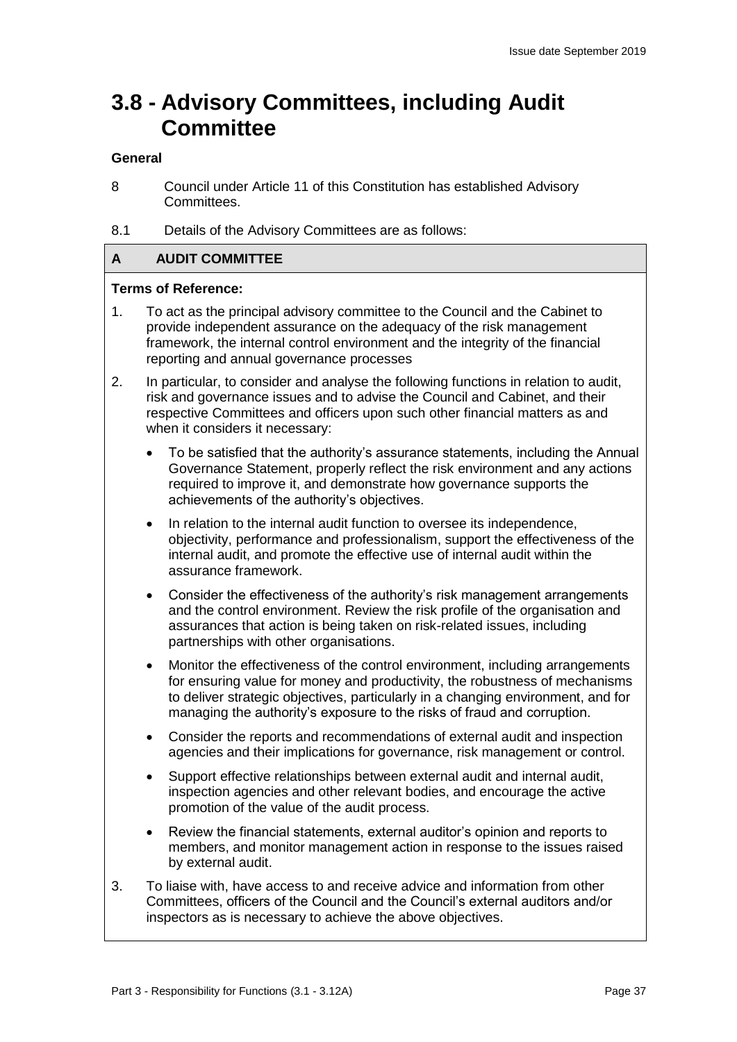## **3.8 - Advisory Committees, including Audit Committee**

#### **General**

- 8 Council under Article 11 of this Constitution has established Advisory Committees.
- 8.1 Details of the Advisory Committees are as follows:

#### **A AUDIT COMMITTEE**

#### **Terms of Reference:**

- 1. To act as the principal advisory committee to the Council and the Cabinet to provide independent assurance on the adequacy of the risk management framework, the internal control environment and the integrity of the financial reporting and annual governance processes
- 2. In particular, to consider and analyse the following functions in relation to audit, risk and governance issues and to advise the Council and Cabinet, and their respective Committees and officers upon such other financial matters as and when it considers it necessary:
	- To be satisfied that the authority's assurance statements, including the Annual Governance Statement, properly reflect the risk environment and any actions required to improve it, and demonstrate how governance supports the achievements of the authority's objectives.
	- In relation to the internal audit function to oversee its independence, objectivity, performance and professionalism, support the effectiveness of the internal audit, and promote the effective use of internal audit within the assurance framework.
	- Consider the effectiveness of the authority's risk management arrangements and the control environment. Review the risk profile of the organisation and assurances that action is being taken on risk-related issues, including partnerships with other organisations.
	- Monitor the effectiveness of the control environment, including arrangements for ensuring value for money and productivity, the robustness of mechanisms to deliver strategic objectives, particularly in a changing environment, and for managing the authority's exposure to the risks of fraud and corruption.
	- Consider the reports and recommendations of external audit and inspection agencies and their implications for governance, risk management or control.
	- Support effective relationships between external audit and internal audit, inspection agencies and other relevant bodies, and encourage the active promotion of the value of the audit process.
	- Review the financial statements, external auditor's opinion and reports to members, and monitor management action in response to the issues raised by external audit.
- 3. To liaise with, have access to and receive advice and information from other Committees, officers of the Council and the Council's external auditors and/or inspectors as is necessary to achieve the above objectives.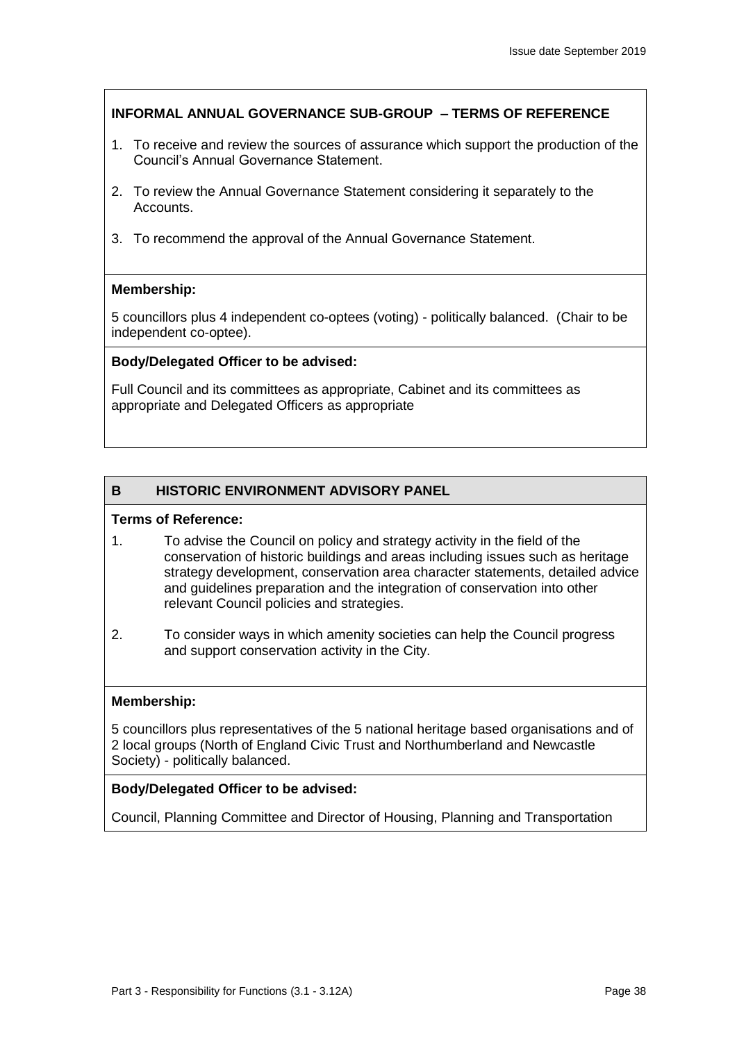## **INFORMAL ANNUAL GOVERNANCE SUB-GROUP – TERMS OF REFERENCE**

- 1. To receive and review the sources of assurance which support the production of the Council's Annual Governance Statement.
- 2. To review the Annual Governance Statement considering it separately to the Accounts.
- 3. To recommend the approval of the Annual Governance Statement.

### **Membership:**

5 councillors plus 4 independent co-optees (voting) - politically balanced. (Chair to be independent co-optee).

### **Body/Delegated Officer to be advised:**

Full Council and its committees as appropriate, Cabinet and its committees as appropriate and Delegated Officers as appropriate

## **B HISTORIC ENVIRONMENT ADVISORY PANEL**

#### **Terms of Reference:**

- 1. To advise the Council on policy and strategy activity in the field of the conservation of historic buildings and areas including issues such as heritage strategy development, conservation area character statements, detailed advice and guidelines preparation and the integration of conservation into other relevant Council policies and strategies.
- 2. To consider ways in which amenity societies can help the Council progress and support conservation activity in the City.

#### **Membership:**

5 councillors plus representatives of the 5 national heritage based organisations and of 2 local groups (North of England Civic Trust and Northumberland and Newcastle Society) - politically balanced.

#### **Body/Delegated Officer to be advised:**

Council, Planning Committee and Director of Housing, Planning and Transportation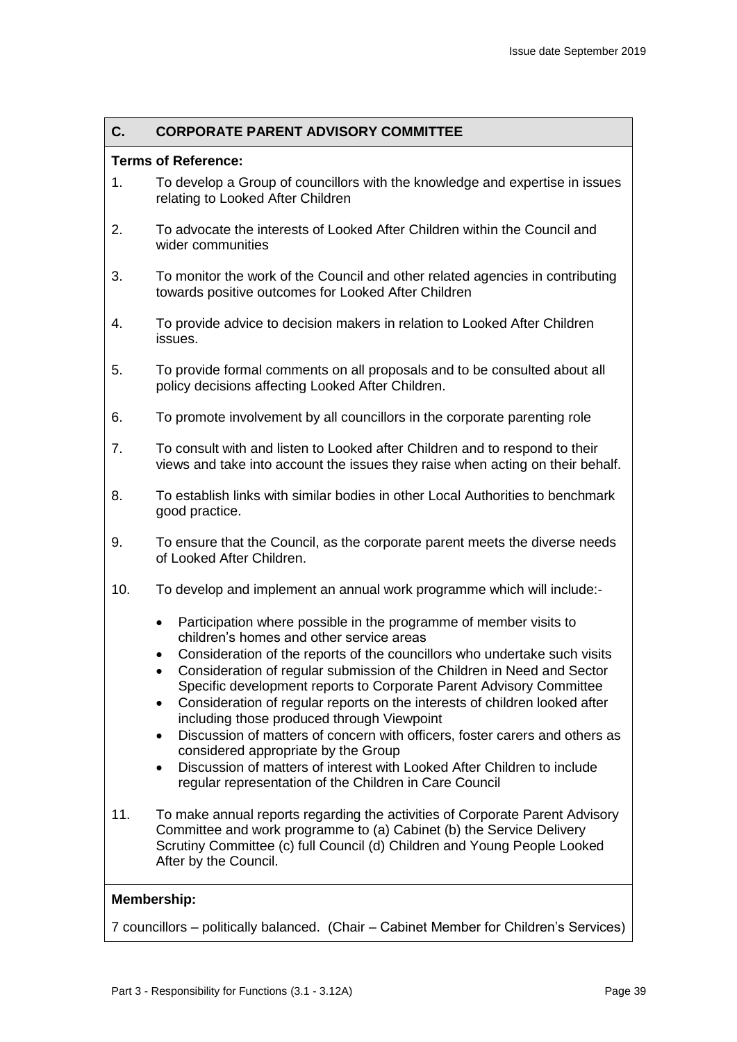### **C. CORPORATE PARENT ADVISORY COMMITTEE**

#### **Terms of Reference:**

- 1. To develop a Group of councillors with the knowledge and expertise in issues relating to Looked After Children
- 2. To advocate the interests of Looked After Children within the Council and wider communities
- 3. To monitor the work of the Council and other related agencies in contributing towards positive outcomes for Looked After Children
- 4. To provide advice to decision makers in relation to Looked After Children issues.
- 5. To provide formal comments on all proposals and to be consulted about all policy decisions affecting Looked After Children.
- 6. To promote involvement by all councillors in the corporate parenting role
- 7. To consult with and listen to Looked after Children and to respond to their views and take into account the issues they raise when acting on their behalf.
- 8. To establish links with similar bodies in other Local Authorities to benchmark good practice.
- 9. To ensure that the Council, as the corporate parent meets the diverse needs of Looked After Children.
- 10. To develop and implement an annual work programme which will include:-
	- Participation where possible in the programme of member visits to children's homes and other service areas
	- Consideration of the reports of the councillors who undertake such visits
	- Consideration of regular submission of the Children in Need and Sector Specific development reports to Corporate Parent Advisory Committee
	- Consideration of regular reports on the interests of children looked after including those produced through Viewpoint
	- Discussion of matters of concern with officers, foster carers and others as considered appropriate by the Group
	- Discussion of matters of interest with Looked After Children to include regular representation of the Children in Care Council
- 11. To make annual reports regarding the activities of Corporate Parent Advisory Committee and work programme to (a) Cabinet (b) the Service Delivery Scrutiny Committee (c) full Council (d) Children and Young People Looked After by the Council.

#### **Membership:**

7 councillors – politically balanced. (Chair – Cabinet Member for Children's Services)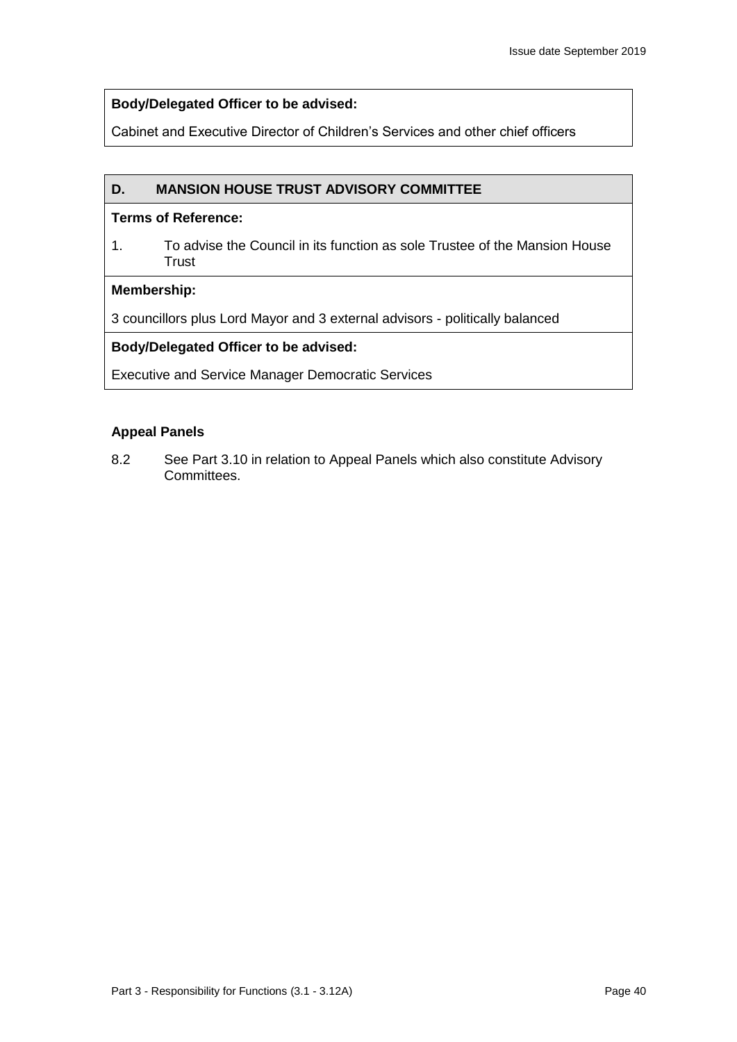#### **Body/Delegated Officer to be advised:**

Cabinet and Executive Director of Children's Services and other chief officers

#### **D. MANSION HOUSE TRUST ADVISORY COMMITTEE**

#### **Terms of Reference:**

1. To advise the Council in its function as sole Trustee of the Mansion House **Trust** 

#### **Membership:**

3 councillors plus Lord Mayor and 3 external advisors - politically balanced

#### **Body/Delegated Officer to be advised:**

Executive and Service Manager Democratic Services

#### **Appeal Panels**

8.2 See Part 3.10 in relation to Appeal Panels which also constitute Advisory Committees.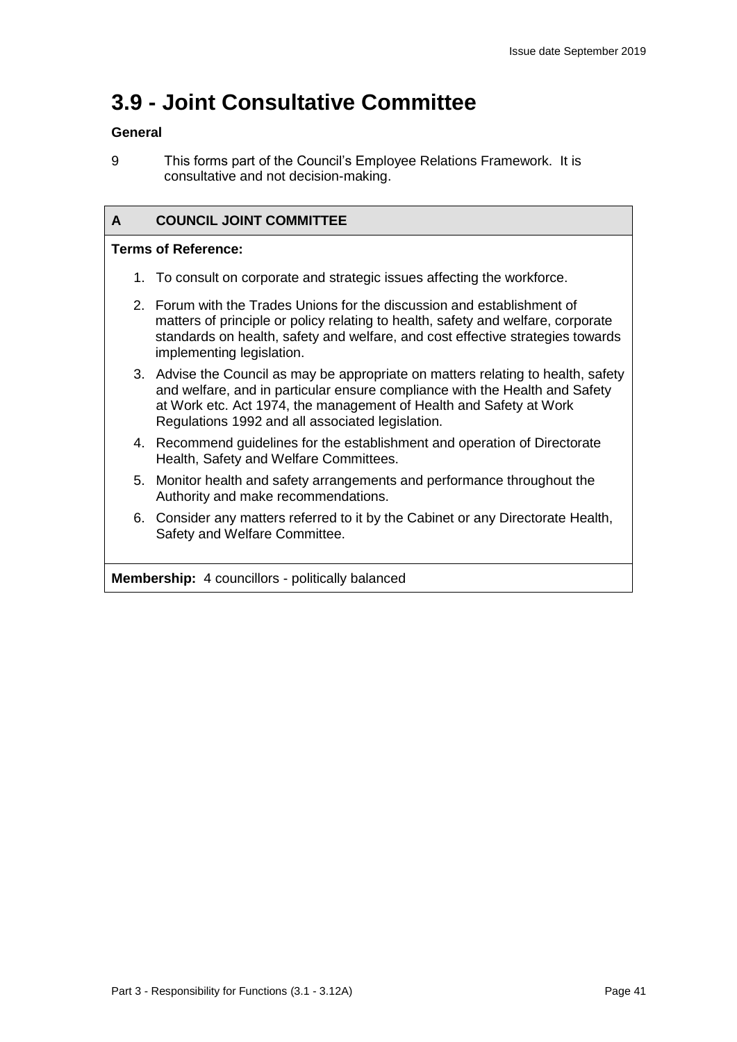## **3.9 - Joint Consultative Committee**

#### **General**

### **A COUNCIL JOINT COMMITTEE**

#### **Terms of Reference:**

- 1. To consult on corporate and strategic issues affecting the workforce.
- 2. Forum with the Trades Unions for the discussion and establishment of matters of principle or policy relating to health, safety and welfare, corporate standards on health, safety and welfare, and cost effective strategies towards implementing legislation.
- 3. Advise the Council as may be appropriate on matters relating to health, safety and welfare, and in particular ensure compliance with the Health and Safety at Work etc. Act 1974, the management of Health and Safety at Work Regulations 1992 and all associated legislation.
- 4. Recommend guidelines for the establishment and operation of Directorate Health, Safety and Welfare Committees.
- 5. Monitor health and safety arrangements and performance throughout the Authority and make recommendations.
- 6. Consider any matters referred to it by the Cabinet or any Directorate Health, Safety and Welfare Committee.

**Membership:** 4 councillors - politically balanced

<sup>9</sup> This forms part of the Council's Employee Relations Framework. It is consultative and not decision-making.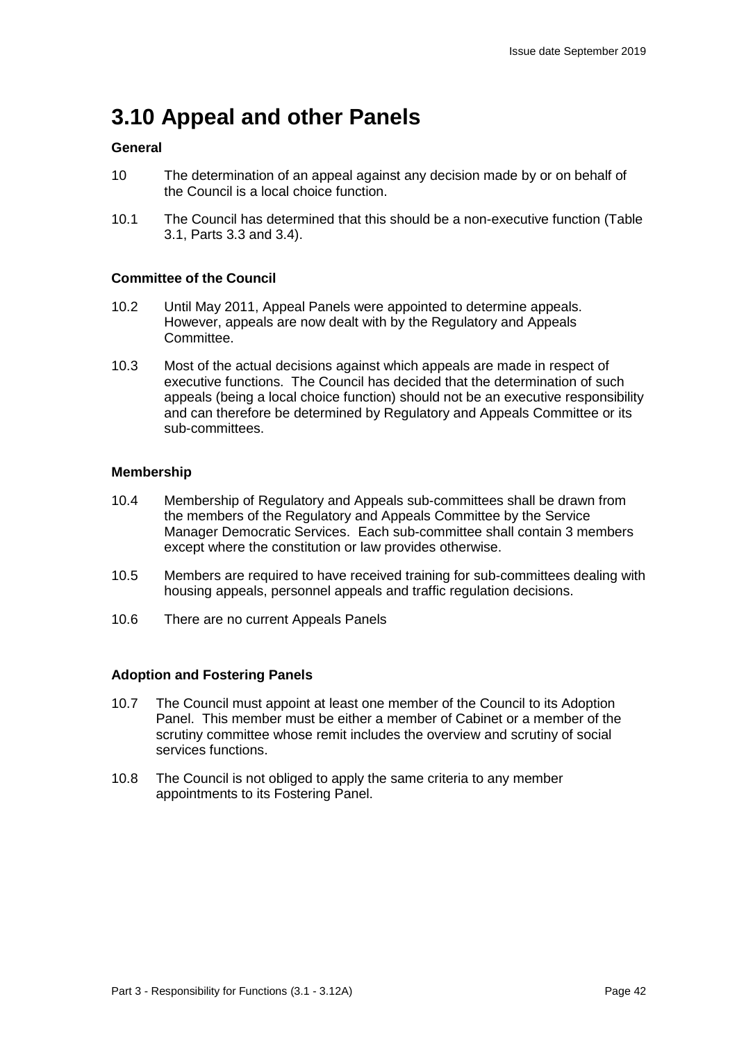## **3.10 Appeal and other Panels**

#### **General**

- 10 The determination of an appeal against any decision made by or on behalf of the Council is a local choice function.
- 10.1 The Council has determined that this should be a non-executive function (Table 3.1, Parts 3.3 and 3.4).

#### **Committee of the Council**

- 10.2 Until May 2011, Appeal Panels were appointed to determine appeals. However, appeals are now dealt with by the Regulatory and Appeals Committee.
- 10.3 Most of the actual decisions against which appeals are made in respect of executive functions. The Council has decided that the determination of such appeals (being a local choice function) should not be an executive responsibility and can therefore be determined by Regulatory and Appeals Committee or its sub-committees.

#### **Membership**

- 10.4 Membership of Regulatory and Appeals sub-committees shall be drawn from the members of the Regulatory and Appeals Committee by the Service Manager Democratic Services. Each sub-committee shall contain 3 members except where the constitution or law provides otherwise.
- 10.5 Members are required to have received training for sub-committees dealing with housing appeals, personnel appeals and traffic regulation decisions.
- 10.6 There are no current Appeals Panels

#### **Adoption and Fostering Panels**

- 10.7 The Council must appoint at least one member of the Council to its Adoption Panel. This member must be either a member of Cabinet or a member of the scrutiny committee whose remit includes the overview and scrutiny of social services functions.
- 10.8 The Council is not obliged to apply the same criteria to any member appointments to its Fostering Panel.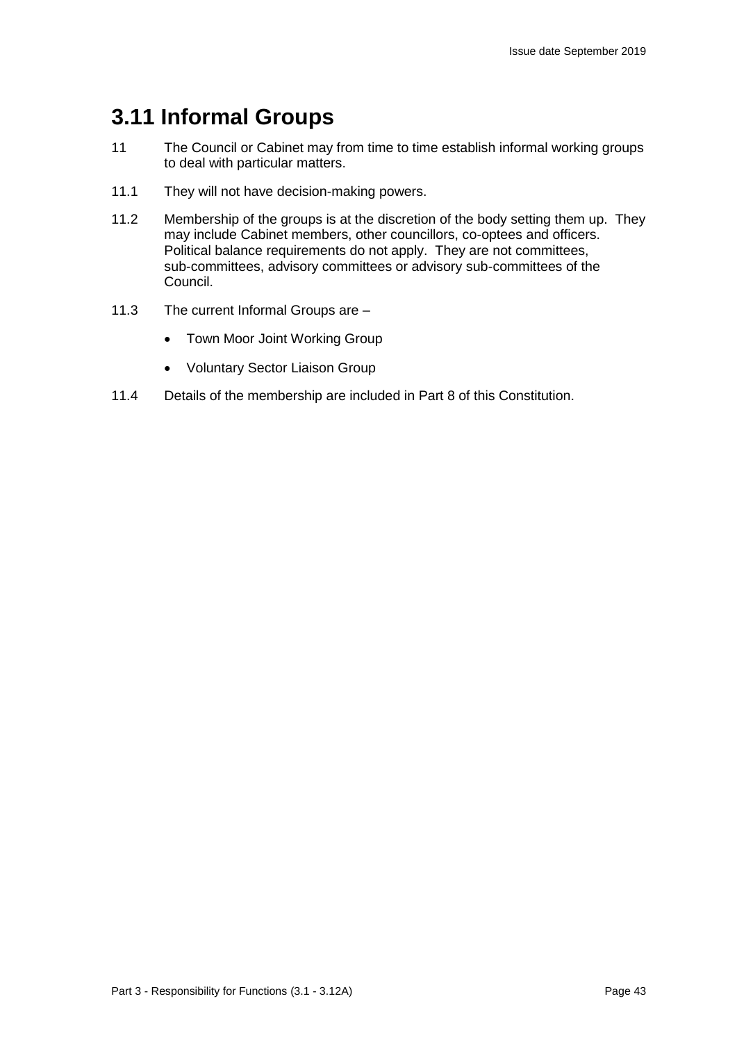## **3.11 Informal Groups**

- 11 The Council or Cabinet may from time to time establish informal working groups to deal with particular matters.
- 11.1 They will not have decision-making powers.
- 11.2 Membership of the groups is at the discretion of the body setting them up. They may include Cabinet members, other councillors, co-optees and officers. Political balance requirements do not apply. They are not committees, sub-committees, advisory committees or advisory sub-committees of the Council.
- 11.3 The current Informal Groups are
	- Town Moor Joint Working Group
	- Voluntary Sector Liaison Group
- 11.4 Details of the membership are included in Part 8 of this Constitution.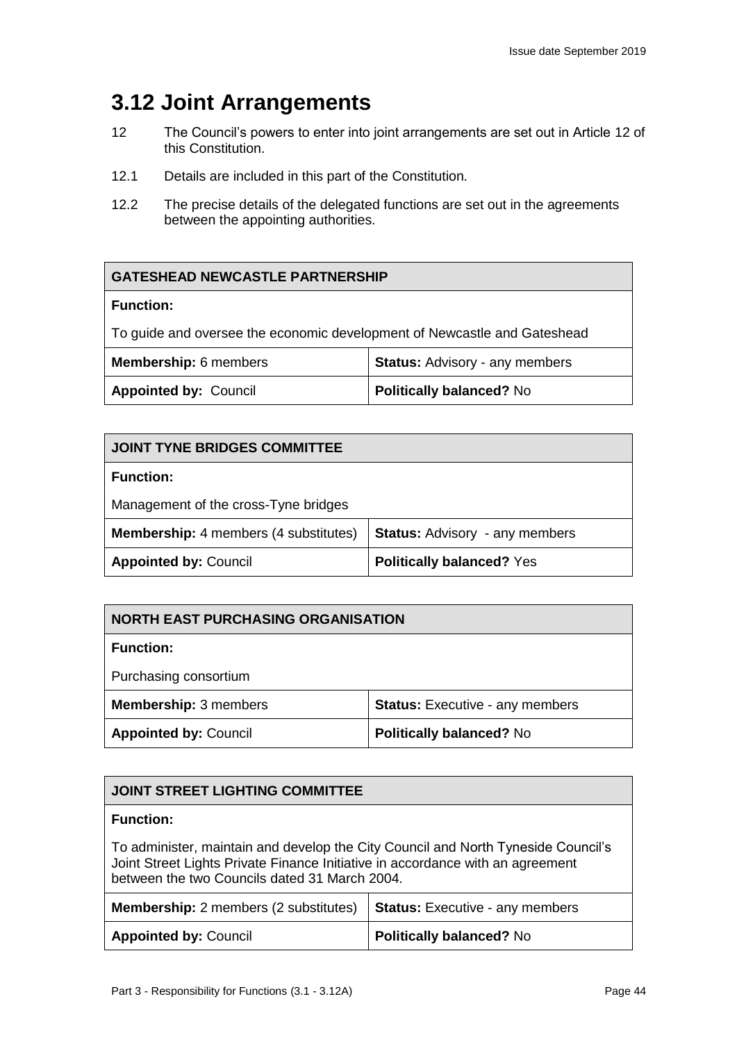## **3.12 Joint Arrangements**

- 12 The Council's powers to enter into joint arrangements are set out in Article 12 of this Constitution.
- 12.1 Details are included in this part of the Constitution.
- 12.2 The precise details of the delegated functions are set out in the agreements between the appointing authorities.

| <b>GATESHEAD NEWCASTLE PARTNERSHIP</b>                                   |  |  |
|--------------------------------------------------------------------------|--|--|
| <b>Function:</b>                                                         |  |  |
| To guide and oversee the economic development of Newcastle and Gateshead |  |  |
| <b>Status: Advisory - any members</b><br><b>Membership:</b> 6 members    |  |  |
| <b>Appointed by: Council</b><br><b>Politically balanced? No</b>          |  |  |

| <b>JOINT TYNE BRIDGES COMMITTEE</b>                                                   |                                  |
|---------------------------------------------------------------------------------------|----------------------------------|
| <b>Function:</b>                                                                      |                                  |
| Management of the cross-Tyne bridges                                                  |                                  |
| <b>Membership:</b> 4 members (4 substitutes)<br><b>Status: Advisory - any members</b> |                                  |
| <b>Appointed by: Council</b>                                                          | <b>Politically balanced? Yes</b> |

| <b>NORTH EAST PURCHASING ORGANISATION</b>                              |  |
|------------------------------------------------------------------------|--|
| <b>Function:</b>                                                       |  |
| Purchasing consortium                                                  |  |
| <b>Membership: 3 members</b><br><b>Status:</b> Executive - any members |  |
| <b>Appointed by: Council</b><br><b>Politically balanced? No</b>        |  |

| <b>JOINT STREET LIGHTING COMMITTEE</b>                                                                                                                                                                               |                                 |  |
|----------------------------------------------------------------------------------------------------------------------------------------------------------------------------------------------------------------------|---------------------------------|--|
| <b>Function:</b>                                                                                                                                                                                                     |                                 |  |
| To administer, maintain and develop the City Council and North Tyneside Council's<br>Joint Street Lights Private Finance Initiative in accordance with an agreement<br>between the two Councils dated 31 March 2004. |                                 |  |
| <b>Status: Executive - any members</b><br><b>Membership:</b> 2 members (2 substitutes)                                                                                                                               |                                 |  |
| <b>Appointed by: Council</b>                                                                                                                                                                                         | <b>Politically balanced? No</b> |  |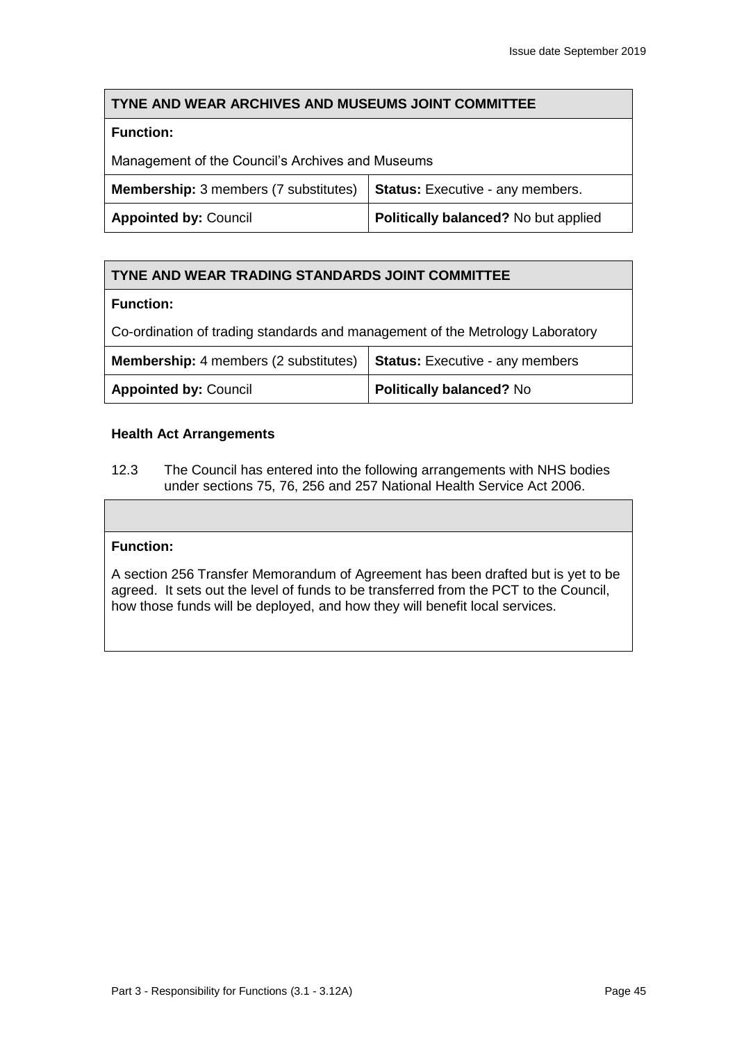### **TYNE AND WEAR ARCHIVES AND MUSEUMS JOINT COMMITTEE**

### **Function:**

Management of the Council's Archives and Museums

| <b>Membership:</b> 3 members (7 substitutes) $\vert$ <b>Status:</b> Executive - any members. |                                             |
|----------------------------------------------------------------------------------------------|---------------------------------------------|
| <b>Appointed by: Council</b>                                                                 | <b>Politically balanced?</b> No but applied |

## **TYNE AND WEAR TRADING STANDARDS JOINT COMMITTEE**

#### **Function:**

Co-ordination of trading standards and management of the Metrology Laboratory

| Membership: 4 members (2 substitutes) $\vert$ Status: Executive - any members |                                 |
|-------------------------------------------------------------------------------|---------------------------------|
| <b>Appointed by: Council</b>                                                  | <b>Politically balanced? No</b> |

### **Health Act Arrangements**

12.3 The Council has entered into the following arrangements with NHS bodies under sections 75, 76, 256 and 257 National Health Service Act 2006.

#### **Function:**

A section 256 Transfer Memorandum of Agreement has been drafted but is yet to be agreed. It sets out the level of funds to be transferred from the PCT to the Council, how those funds will be deployed, and how they will benefit local services.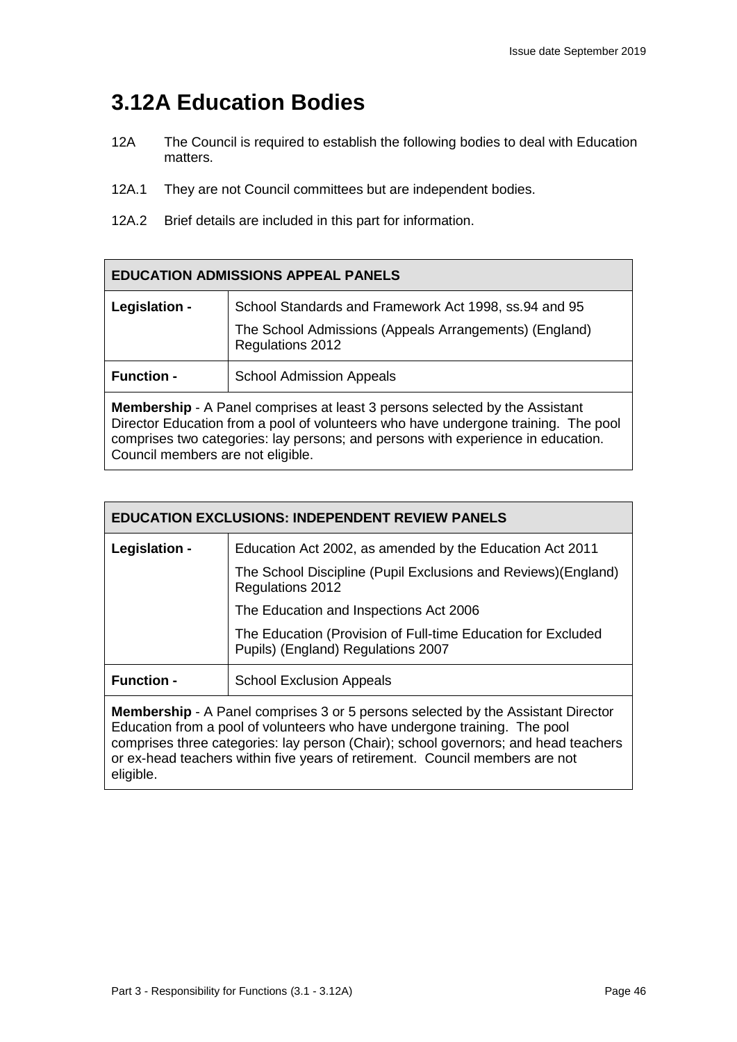## **3.12A Education Bodies**

- 12A The Council is required to establish the following bodies to deal with Education matters.
- 12A.1 They are not Council committees but are independent bodies.
- 12A.2 Brief details are included in this part for information.

| <b>EDUCATION ADMISSIONS APPEAL PANELS</b>                                                                                                                                                                                                                                                         |                                                                                                                                     |
|---------------------------------------------------------------------------------------------------------------------------------------------------------------------------------------------------------------------------------------------------------------------------------------------------|-------------------------------------------------------------------------------------------------------------------------------------|
| Legislation -                                                                                                                                                                                                                                                                                     | School Standards and Framework Act 1998, ss.94 and 95<br>The School Admissions (Appeals Arrangements) (England)<br>Regulations 2012 |
| <b>Function -</b>                                                                                                                                                                                                                                                                                 | <b>School Admission Appeals</b>                                                                                                     |
| <b>Membership</b> - A Panel comprises at least 3 persons selected by the Assistant<br>Director Education from a pool of volunteers who have undergone training. The pool<br>comprises two categories: lay persons; and persons with experience in education.<br>Council members are not eligible. |                                                                                                                                     |

| <b>EDUCATION EXCLUSIONS: INDEPENDENT REVIEW PANELS</b>                                                                                                                                                                                                                                                                                                   |                                                                                                    |  |
|----------------------------------------------------------------------------------------------------------------------------------------------------------------------------------------------------------------------------------------------------------------------------------------------------------------------------------------------------------|----------------------------------------------------------------------------------------------------|--|
| Legislation -                                                                                                                                                                                                                                                                                                                                            | Education Act 2002, as amended by the Education Act 2011                                           |  |
|                                                                                                                                                                                                                                                                                                                                                          | The School Discipline (Pupil Exclusions and Reviews) (England)<br>Regulations 2012                 |  |
|                                                                                                                                                                                                                                                                                                                                                          | The Education and Inspections Act 2006                                                             |  |
|                                                                                                                                                                                                                                                                                                                                                          | The Education (Provision of Full-time Education for Excluded<br>Pupils) (England) Regulations 2007 |  |
| <b>Function -</b>                                                                                                                                                                                                                                                                                                                                        | <b>School Exclusion Appeals</b>                                                                    |  |
| <b>Membership</b> - A Panel comprises 3 or 5 persons selected by the Assistant Director<br>Education from a pool of volunteers who have undergone training. The pool<br>comprises three categories: lay person (Chair); school governors; and head teachers<br>or ex-head teachers within five years of retirement. Council members are not<br>eligible. |                                                                                                    |  |